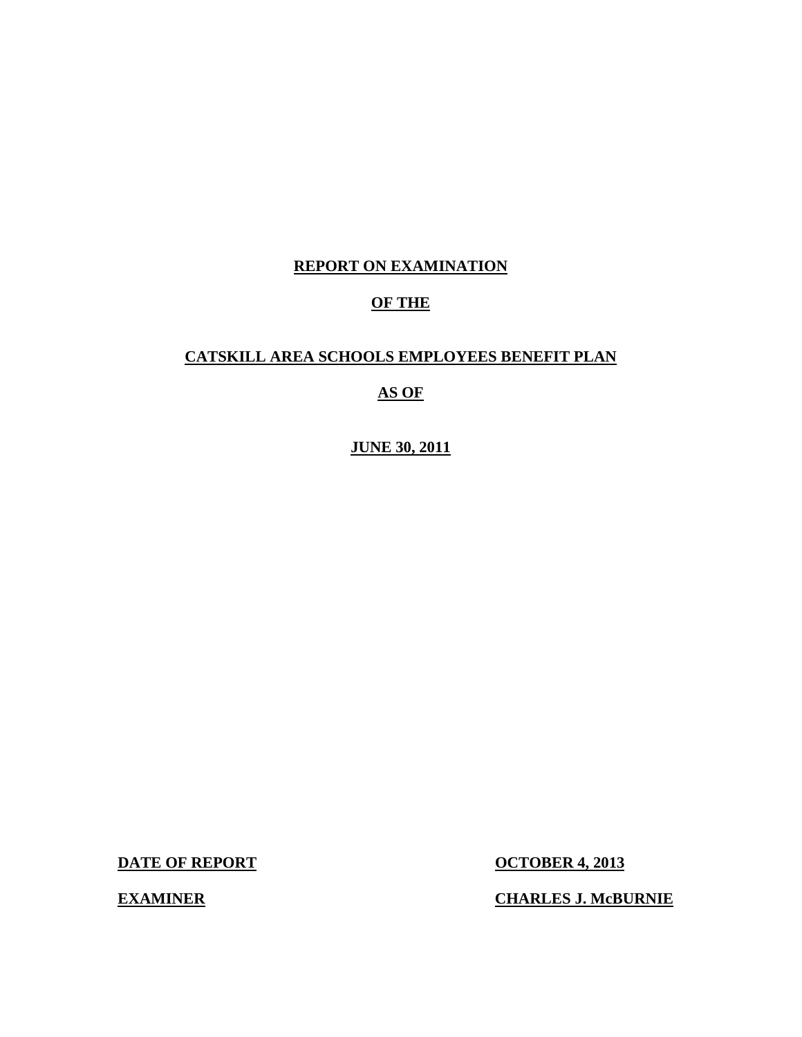# **REPORT ON EXAMINATION**

# **OF THE**

# **CATSKILL AREA SCHOOLS EMPLOYEES BENEFIT PLAN**

# **AS OF**

**JUNE 30, 2011** 

**DATE OF REPORT CONTRACTE OF REPORT CONTRACTE OF REPORT** 

**EXAMINER** 

**CHARLES J. McBURNIE**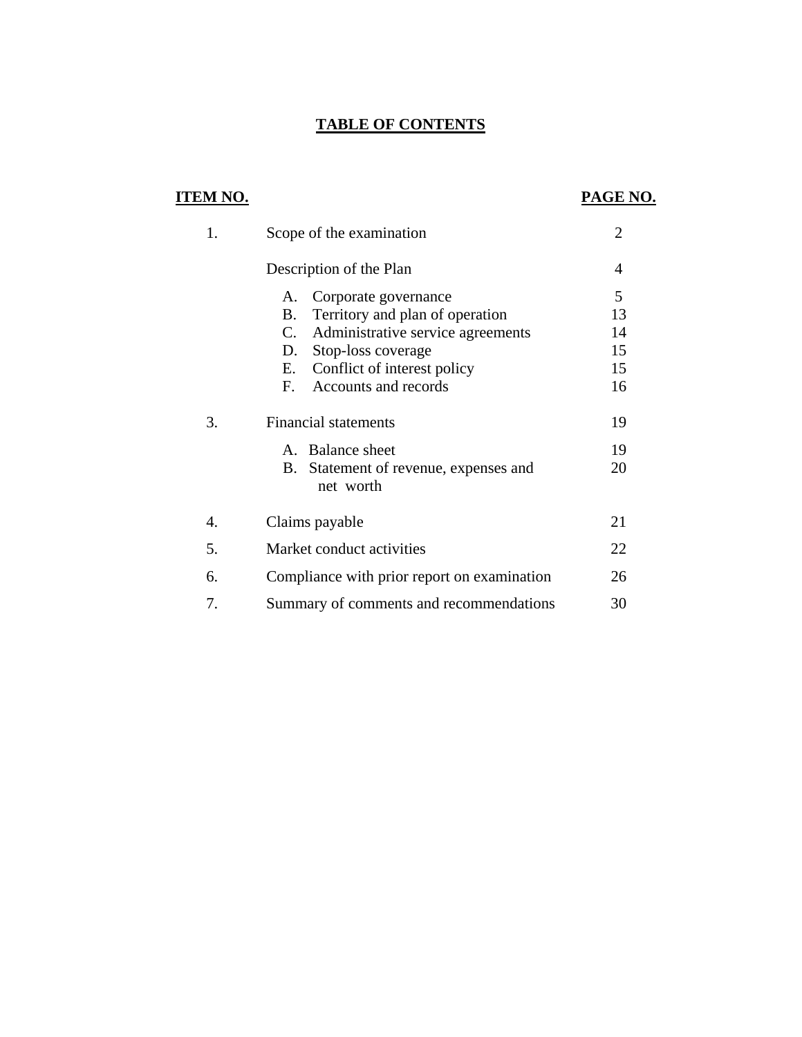# **TABLE OF CONTENTS**

# **ITEM NO. PAGE NO.**

| 1. | Scope of the examination                                                         |          |  |
|----|----------------------------------------------------------------------------------|----------|--|
|    | Description of the Plan                                                          | 4        |  |
|    | Corporate governance<br>А.                                                       | 5        |  |
|    | Territory and plan of operation<br>В.<br>C.<br>Administrative service agreements | 13<br>14 |  |
|    | Stop-loss coverage<br>D.<br>Conflict of interest policy<br>E.                    | 15<br>15 |  |
|    | Accounts and records<br>F.                                                       | 16       |  |
| 3. | <b>Financial statements</b>                                                      | 19       |  |
|    | A. Balance sheet                                                                 | 19       |  |
|    | Statement of revenue, expenses and<br>В.<br>net worth                            | 20       |  |
| 4. | Claims payable                                                                   | 21       |  |
| 5. | Market conduct activities                                                        | 22       |  |
| 6. | Compliance with prior report on examination                                      | 26       |  |
| 7. | Summary of comments and recommendations                                          | 30       |  |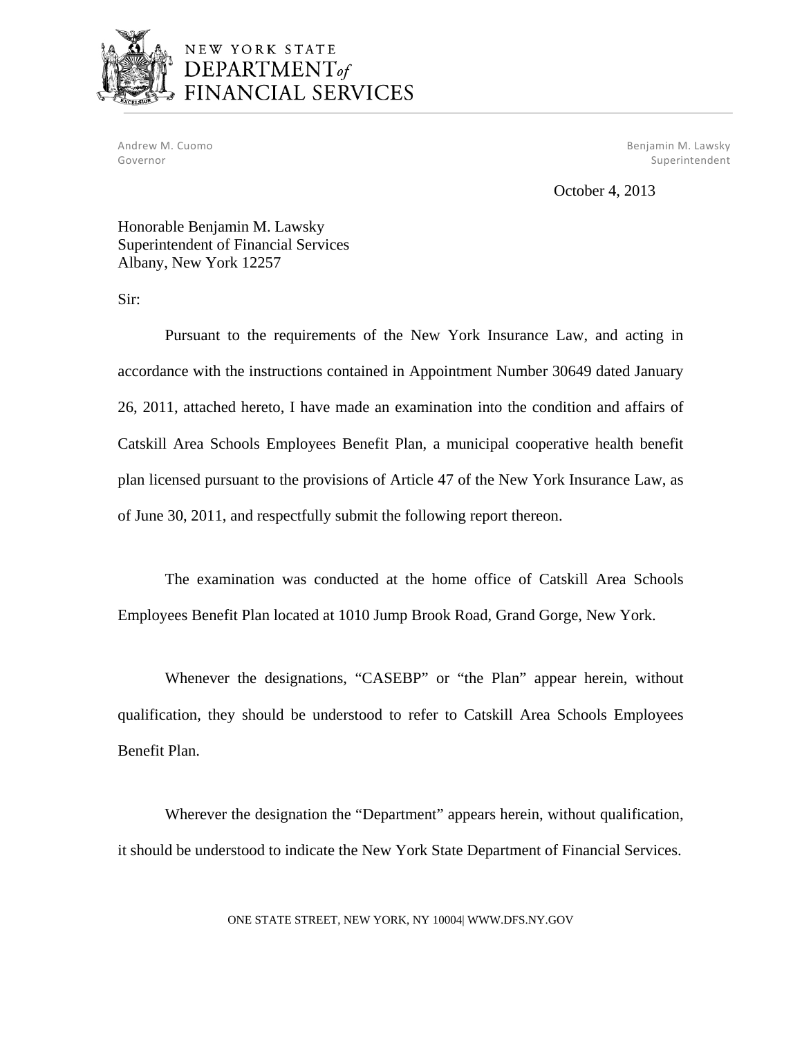

# NEW YORK STATE DEPARTMENT<sub>of</sub> FINANCIAL SERVICES

 Andrew M. Cuomo Benjamin M. Lawsky Governor Superintendent and Superintendent and Superintendent and Superintendent and Superintendent and Superintendent

October 4, 2013

Honorable Benjamin M. Lawsky Superintendent of Financial Services Albany, New York 12257

Sir:

Pursuant to the requirements of the New York Insurance Law, and acting in accordance with the instructions contained in Appointment Number 30649 dated January 26, 2011, attached hereto, I have made an examination into the condition and affairs of Catskill Area Schools Employees Benefit Plan, a municipal cooperative health benefit plan licensed pursuant to the provisions of Article 47 of the New York Insurance Law, as of June 30, 2011, and respectfully submit the following report thereon.

The examination was conducted at the home office of Catskill Area Schools Employees Benefit Plan located at 1010 Jump Brook Road, Grand Gorge, New York.

Whenever the designations, "CASEBP" or "the Plan" appear herein, without qualification, they should be understood to refer to Catskill Area Schools Employees Benefit Plan.

Wherever the designation the "Department" appears herein, without qualification, it should be understood to indicate the New York State Department of Financial Services.

ONE STATE STREET, NEW YORK, NY 10004| <WWW.DFS.NY.GOV>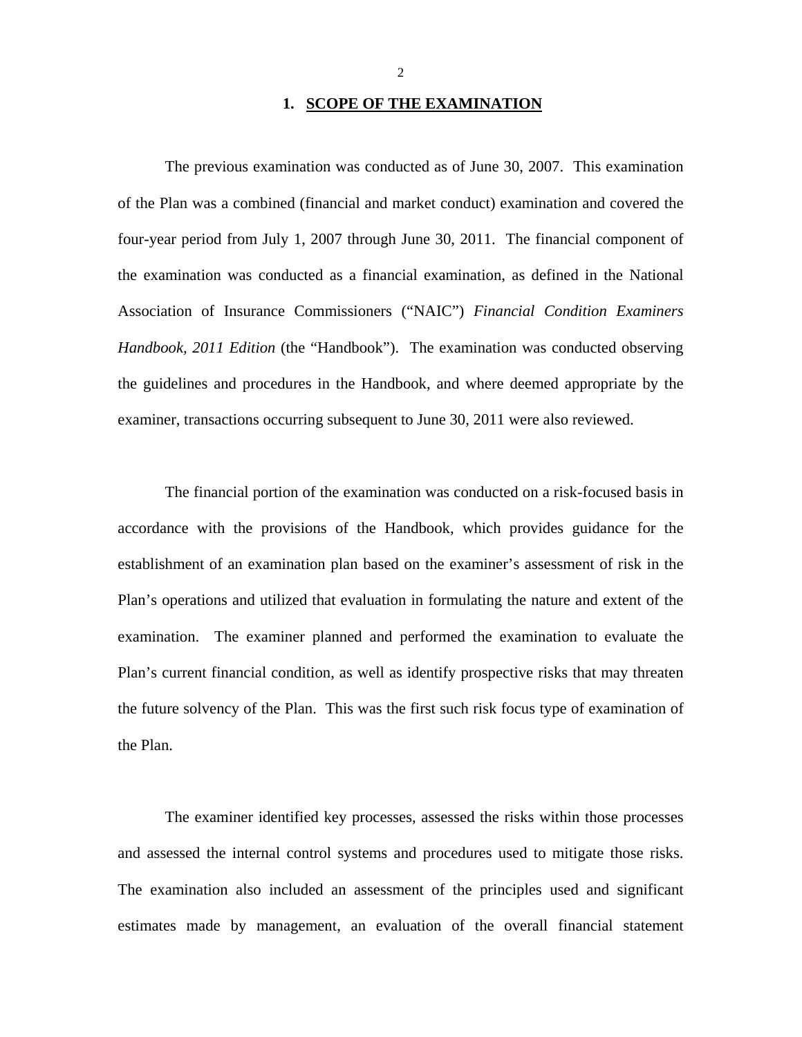#### **1. SCOPE OF THE EXAMINATION**

The previous examination was conducted as of June 30, 2007. This examination of the Plan was a combined (financial and market conduct) examination and covered the four-year period from July 1, 2007 through June 30, 2011. The financial component of the examination was conducted as a financial examination, as defined in the National Association of Insurance Commissioners ("NAIC") *Financial Condition Examiners Handbook, 2011 Edition* (the "Handbook"). The examination was conducted observing the guidelines and procedures in the Handbook, and where deemed appropriate by the examiner, transactions occurring subsequent to June 30, 2011 were also reviewed.

The financial portion of the examination was conducted on a risk-focused basis in accordance with the provisions of the Handbook, which provides guidance for the establishment of an examination plan based on the examiner's assessment of risk in the Plan's operations and utilized that evaluation in formulating the nature and extent of the examination. The examiner planned and performed the examination to evaluate the Plan's current financial condition, as well as identify prospective risks that may threaten the future solvency of the Plan. This was the first such risk focus type of examination of the Plan.

The examiner identified key processes, assessed the risks within those processes and assessed the internal control systems and procedures used to mitigate those risks. The examination also included an assessment of the principles used and significant estimates made by management, an evaluation of the overall financial statement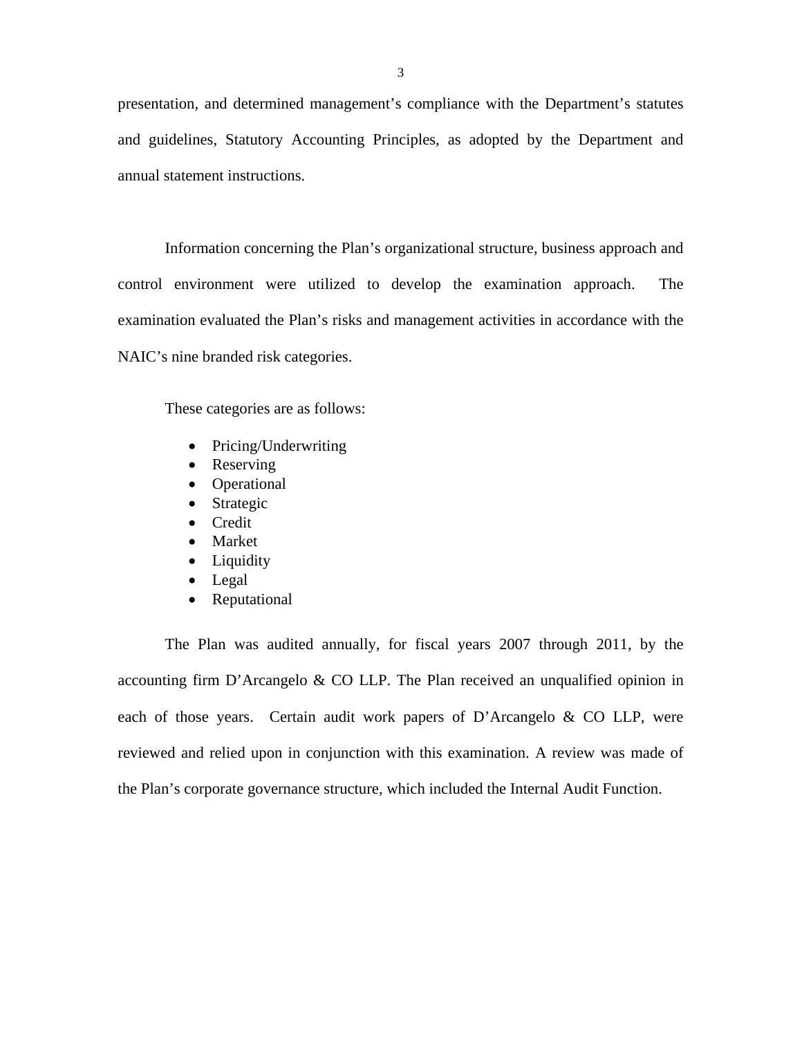presentation, and determined management's compliance with the Department's statutes and guidelines, Statutory Accounting Principles, as adopted by the Department and annual statement instructions.

Information concerning the Plan's organizational structure, business approach and control environment were utilized to develop the examination approach. The examination evaluated the Plan's risks and management activities in accordance with the NAIC's nine branded risk categories.

These categories are as follows:

- Pricing/Underwriting
- Reserving
- Operational
- Strategic
- **•** Credit
- Market
- Liquidity
- Legal
- Reputational

The Plan was audited annually, for fiscal years 2007 through 2011, by the accounting firm D'Arcangelo & CO LLP. The Plan received an unqualified opinion in each of those years. Certain audit work papers of D'Arcangelo & CO LLP, were reviewed and relied upon in conjunction with this examination. A review was made of the Plan's corporate governance structure, which included the Internal Audit Function.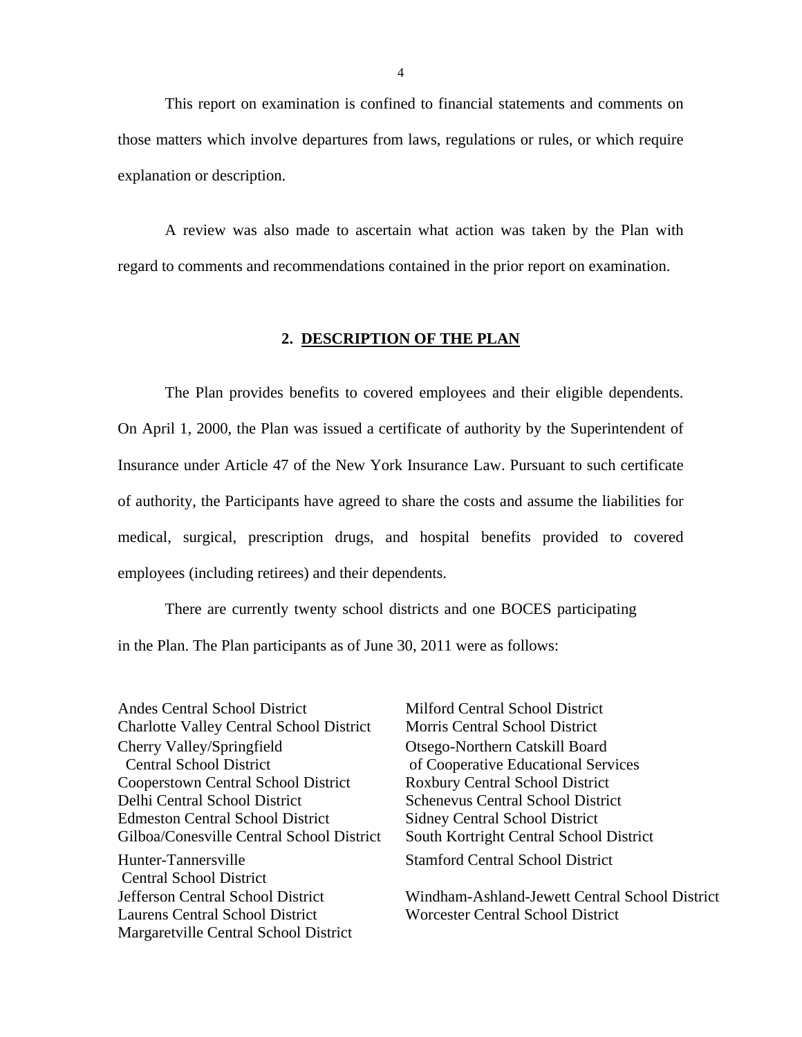<span id="page-5-0"></span>This report on examination is confined to financial statements and comments on those matters which involve departures from laws, regulations or rules, or which require explanation or description.

A review was also made to ascertain what action was taken by the Plan with regard to comments and recommendations contained in the prior report on examination.

#### **2. DESCRIPTION OF THE PLAN**

The Plan provides benefits to covered employees and their eligible dependents. On April 1, 2000, the Plan was issued a certificate of authority by the Superintendent of Insurance under Article 47 of the New York Insurance Law. Pursuant to such certificate of authority, the Participants have agreed to share the costs and assume the liabilities for medical, surgical, prescription drugs, and hospital benefits provided to covered employees (including retirees) and their dependents.

There are currently twenty school districts and one BOCES participating in the Plan. The Plan participants as of June 30, 2011 were as follows:

Andes Central School District Charlotte Valley Central School District Cherry Valley/Springfield Central School District Cooperstown Central School District Delhi Central School District Edmeston Central School District Gilboa/Conesville Central School District Hunter-Tannersville Central School District Jefferson Central School District Laurens Central School District Margaretville Central School District

Milford Central School District Morris Central School District Otsego-Northern Catskill Board of Cooperative Educational Services Roxbury Central School District Schenevus Central School District Sidney Central School District South Kortright Central School District Stamford Central School District

Windham-Ashland-Jewett Central School District Worcester Central School District

4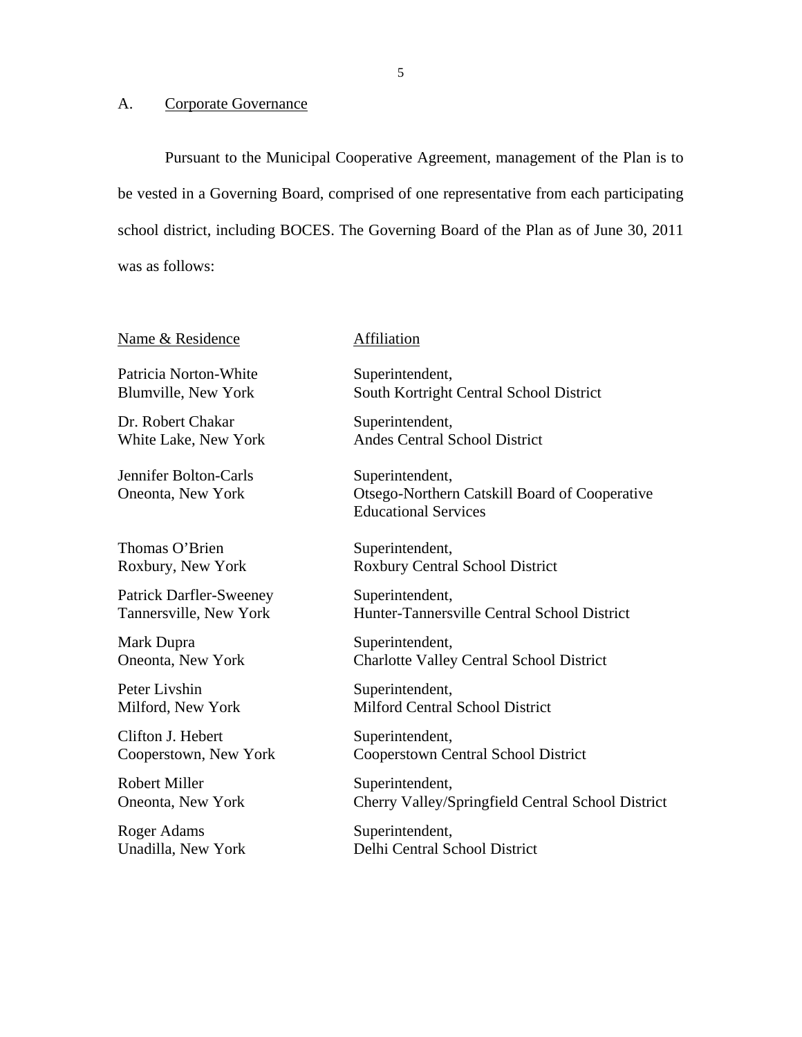#### <span id="page-6-0"></span>A. Corporate Governance

Pursuant to the Municipal Cooperative Agreement, management of the Plan is to be vested in a Governing Board, comprised of one representative from each participating school district, including BOCES. The Governing Board of the Plan as of June 30, 2011 was as follows:

| <u>Name &amp; Residence</u>                              |
|----------------------------------------------------------|
| Patricia Norton-White<br><b>Blumville, New York</b>      |
| Dr. Robert Chakar<br>White Lake, New York                |
| Jennifer Bolton-Carls<br>Oneonta, New York               |
| Thomas O'Brien<br>Roxbury, New York                      |
| <b>Patrick Darfler-Sweeney</b><br>Tannersville, New York |
| Mark Dupra<br>Oneonta, New York                          |
| Peter Livshin<br>Milford, New York                       |
|                                                          |

Clifton J. Hebert Cooperstown, New York

Robert Miller Oneonta, New York

Roger Adams Unadilla, New York

#### Affiliation

Superintendent, South Kortright Central School District

Superintendent, Andes Central School District

Superintendent, Otsego-Northern Catskill Board of Cooperative Educational Services

Superintendent, Roxbury Central School District

Superintendent, Hunter-Tannersville Central School District

Superintendent, Charlotte Valley Central School District

Superintendent, Milford Central School District

Superintendent, Cooperstown Central School District

Superintendent, Cherry Valley/Springfield Central School District

Superintendent, Delhi Central School District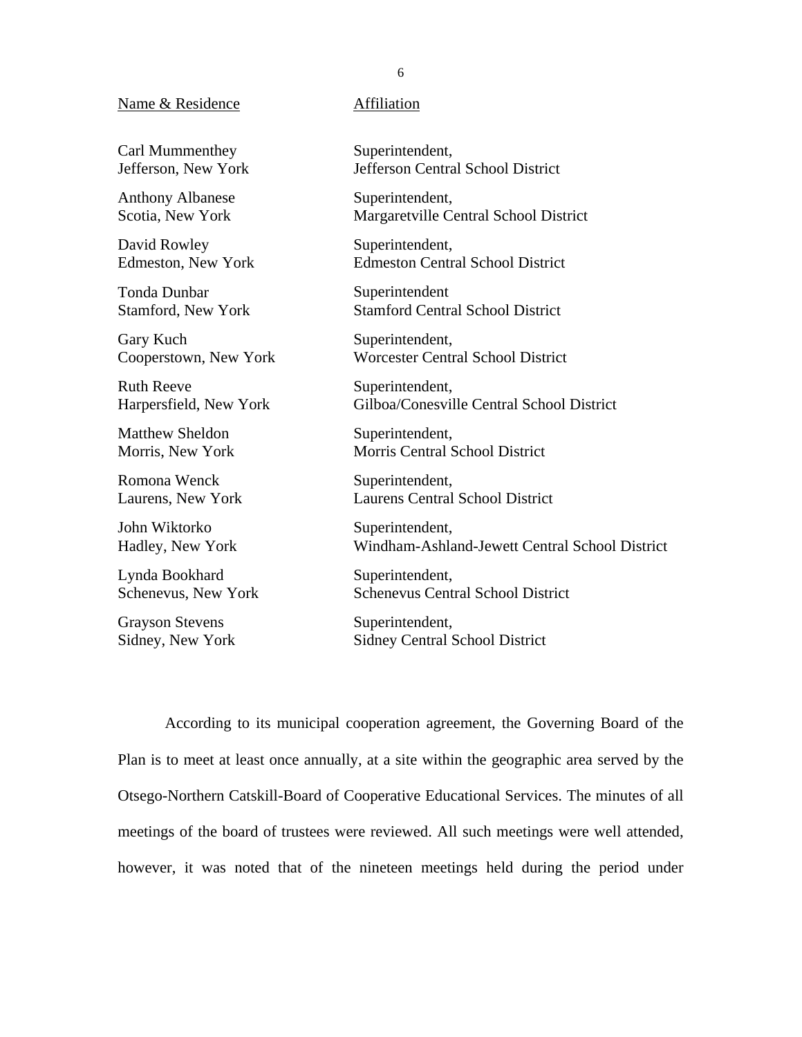#### Name & Residence **Affiliation**

Carl Mummenthey Jefferson, New York

Anthony Albanese Scotia, New York

David Rowley Edmeston, New York

Tonda Dunbar Stamford, New York

Gary Kuch Cooperstown, New York

Ruth Reeve Harpersfield, New York

Matthew Sheldon Morris, New York

Romona Wenck Laurens, New York

John Wiktorko Hadley, New York

Lynda Bookhard Schenevus, New York

Grayson Stevens Sidney, New York

Superintendent, Jefferson Central School District

Superintendent, Margaretville Central School District

Superintendent, Edmeston Central School District

Superintendent Stamford Central School District

Superintendent, Worcester Central School District

Superintendent, Gilboa/Conesville Central School District

Superintendent, Morris Central School District

Superintendent, Laurens Central School District

Superintendent, Windham-Ashland-Jewett Central School District

Superintendent, Schenevus Central School District

Superintendent, Sidney Central School District

According to its municipal cooperation agreement, the Governing Board of the Plan is to meet at least once annually, at a site within the geographic area served by the Otsego-Northern Catskill-Board of Cooperative Educational Services. The minutes of all meetings of the board of trustees were reviewed. All such meetings were well attended, however, it was noted that of the nineteen meetings held during the period under

#### 6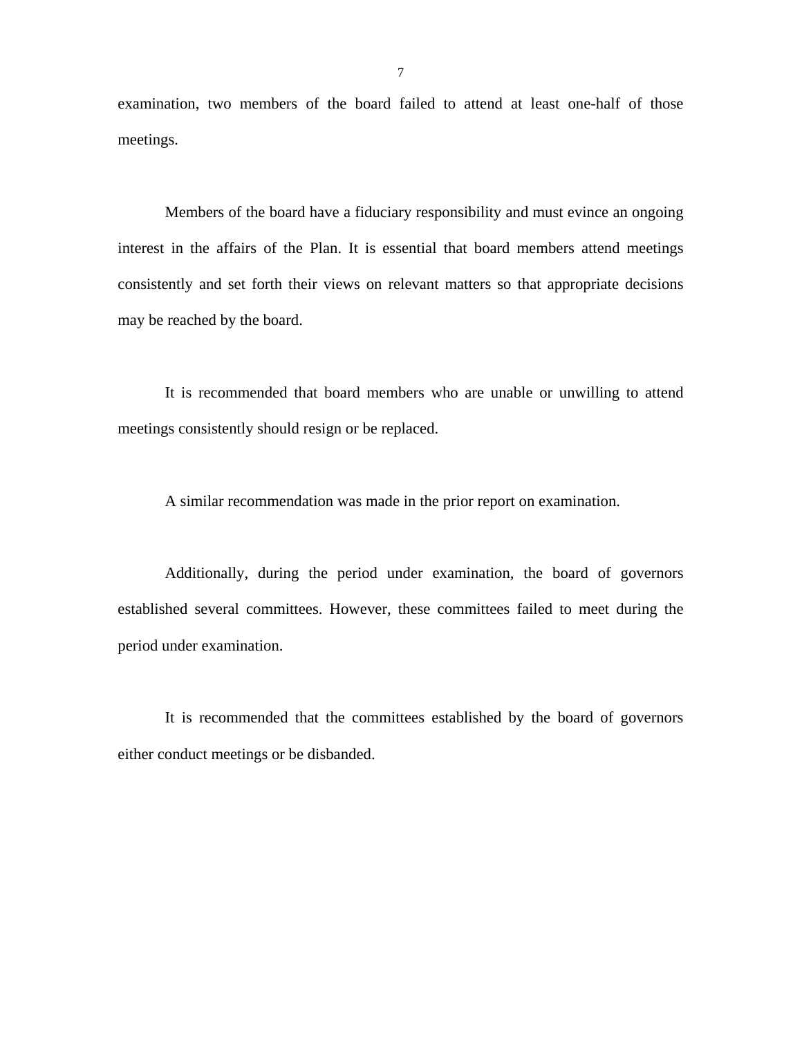examination, two members of the board failed to attend at least one-half of those meetings.

Members of the board have a fiduciary responsibility and must evince an ongoing interest in the affairs of the Plan. It is essential that board members attend meetings consistently and set forth their views on relevant matters so that appropriate decisions may be reached by the board.

It is recommended that board members who are unable or unwilling to attend meetings consistently should resign or be replaced.

A similar recommendation was made in the prior report on examination.

Additionally, during the period under examination, the board of governors established several committees. However, these committees failed to meet during the period under examination.

It is recommended that the committees established by the board of governors either conduct meetings or be disbanded.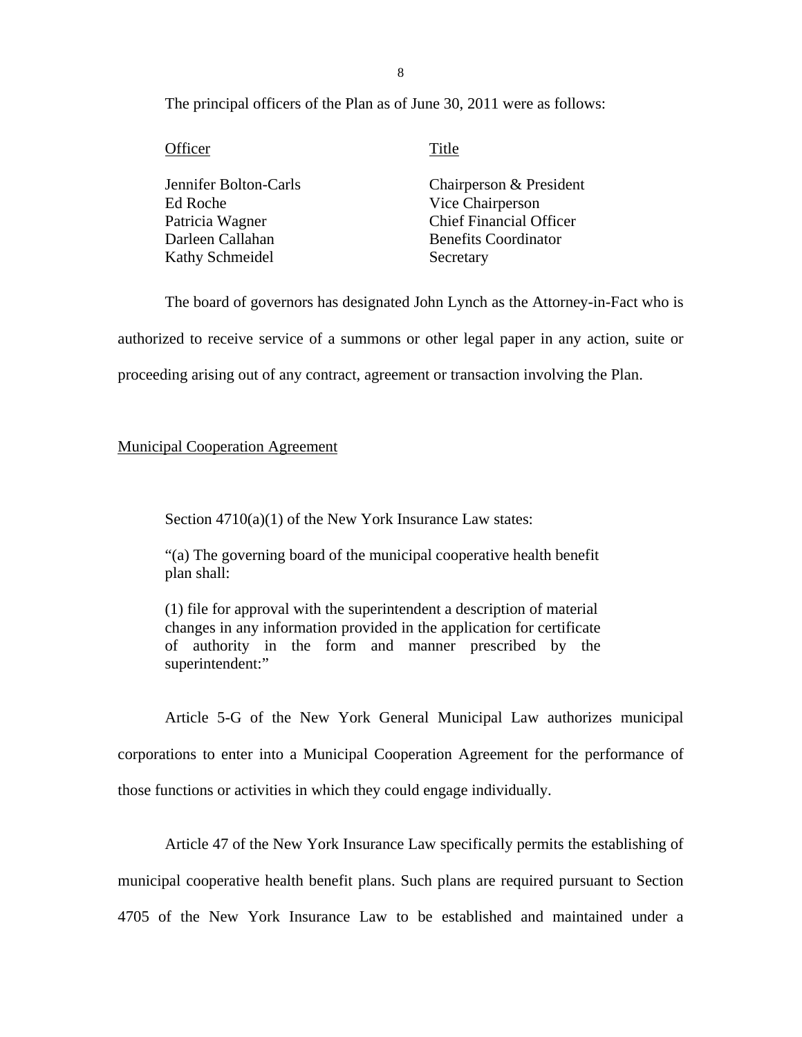8

The principal officers of the Plan as of June 30, 2011 were as follows:

Officer Title

Jennifer Bolton-Carls Chairperson & President Ed Roche Vice Chairperson Patricia Wagner Chief Financial Officer Darleen Callahan Benefits Coordinator Kathy Schmeidel Secretary

The board of governors has designated John Lynch as the Attorney-in-Fact who is authorized to receive service of a summons or other legal paper in any action, suite or proceeding arising out of any contract, agreement or transaction involving the Plan.

#### Municipal Cooperation Agreement

Section 4710(a)(1) of the New York Insurance Law states:

"(a) The governing board of the municipal cooperative health benefit plan shall:

(1) file for approval with the superintendent a description of material changes in any information provided in the application for certificate of authority in the form and manner prescribed by the superintendent:"

Article 5-G of the New York General Municipal Law authorizes municipal corporations to enter into a Municipal Cooperation Agreement for the performance of those functions or activities in which they could engage individually.

Article 47 of the New York Insurance Law specifically permits the establishing of municipal cooperative health benefit plans. Such plans are required pursuant to Section 4705 of the New York Insurance Law to be established and maintained under a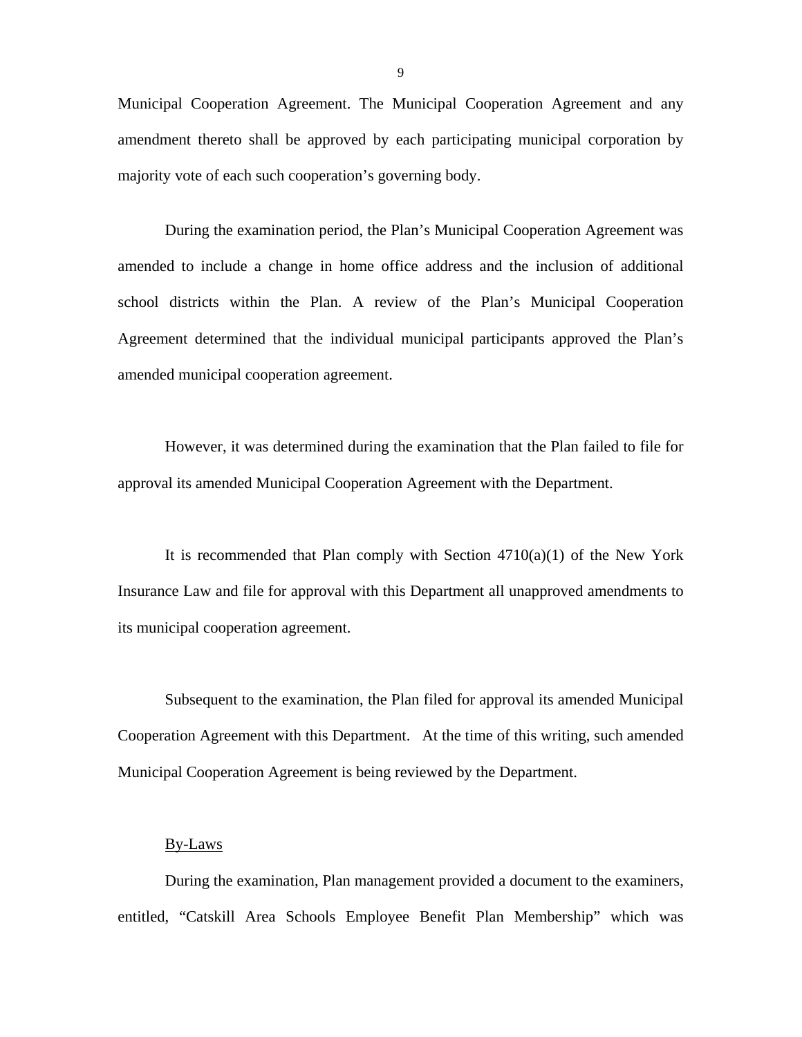Municipal Cooperation Agreement. The Municipal Cooperation Agreement and any amendment thereto shall be approved by each participating municipal corporation by majority vote of each such cooperation's governing body.

During the examination period, the Plan's Municipal Cooperation Agreement was amended to include a change in home office address and the inclusion of additional school districts within the Plan. A review of the Plan's Municipal Cooperation Agreement determined that the individual municipal participants approved the Plan's amended municipal cooperation agreement.

However, it was determined during the examination that the Plan failed to file for approval its amended Municipal Cooperation Agreement with the Department.

It is recommended that Plan comply with Section  $4710(a)(1)$  of the New York Insurance Law and file for approval with this Department all unapproved amendments to its municipal cooperation agreement.

Subsequent to the examination, the Plan filed for approval its amended Municipal Cooperation Agreement with this Department. At the time of this writing, such amended Municipal Cooperation Agreement is being reviewed by the Department.

#### By-Laws

During the examination, Plan management provided a document to the examiners, entitled, "Catskill Area Schools Employee Benefit Plan Membership" which was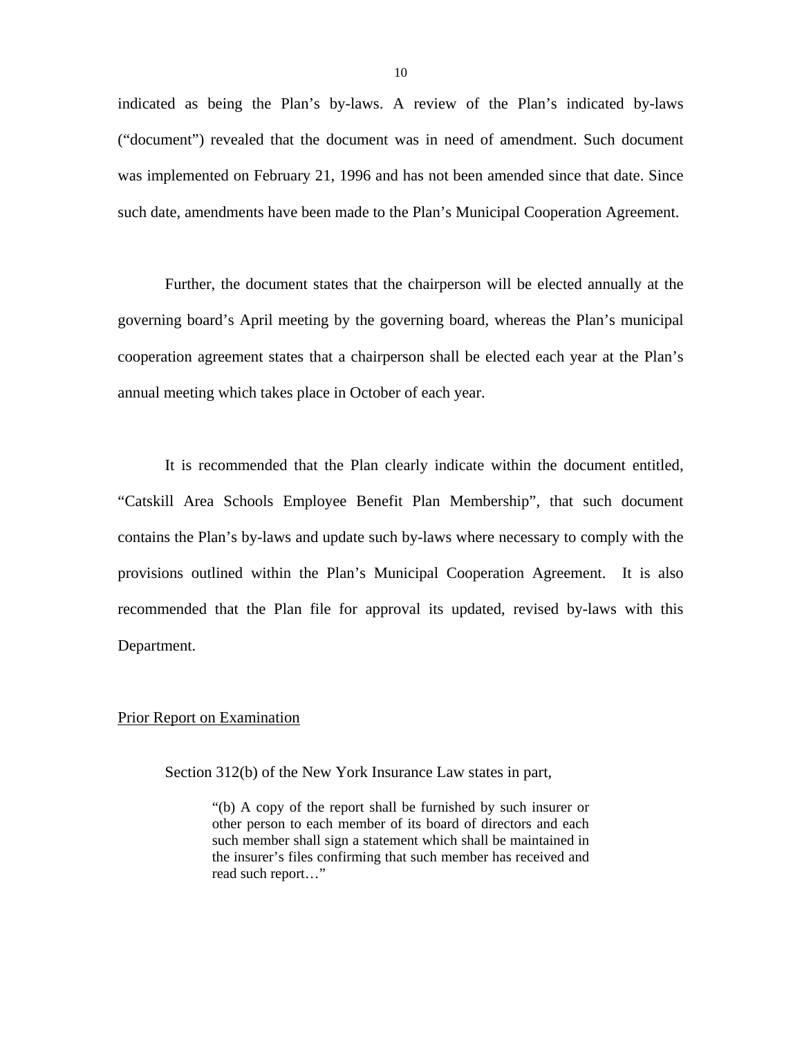indicated as being the Plan's by-laws. A review of the Plan's indicated by-laws ("document") revealed that the document was in need of amendment. Such document was implemented on February 21, 1996 and has not been amended since that date. Since such date, amendments have been made to the Plan's Municipal Cooperation Agreement.

Further, the document states that the chairperson will be elected annually at the governing board's April meeting by the governing board, whereas the Plan's municipal cooperation agreement states that a chairperson shall be elected each year at the Plan's annual meeting which takes place in October of each year.

It is recommended that the Plan clearly indicate within the document entitled, "Catskill Area Schools Employee Benefit Plan Membership", that such document contains the Plan's by-laws and update such by-laws where necessary to comply with the provisions outlined within the Plan's Municipal Cooperation Agreement. It is also recommended that the Plan file for approval its updated, revised by-laws with this Department.

#### Prior Report on Examination

Section 312(b) of the New York Insurance Law states in part,

"(b) A copy of the report shall be furnished by such insurer or other person to each member of its board of directors and each such member shall sign a statement which shall be maintained in the insurer's files confirming that such member has received and read such report…"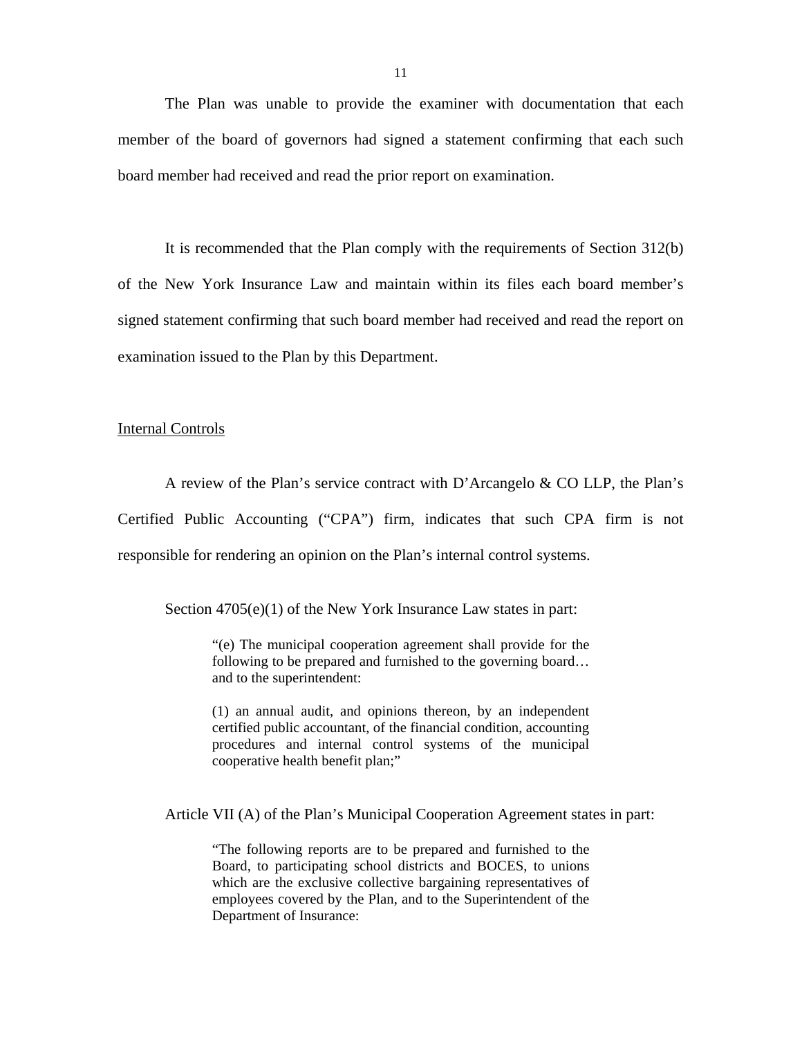The Plan was unable to provide the examiner with documentation that each member of the board of governors had signed a statement confirming that each such board member had received and read the prior report on examination.

It is recommended that the Plan comply with the requirements of Section 312(b) of the New York Insurance Law and maintain within its files each board member's signed statement confirming that such board member had received and read the report on examination issued to the Plan by this Department.

#### Internal Controls

A review of the Plan's service contract with D'Arcangelo & CO LLP, the Plan's Certified Public Accounting ("CPA") firm, indicates that such CPA firm is not responsible for rendering an opinion on the Plan's internal control systems.

Section 4705(e)(1) of the New York Insurance Law states in part:

"(e) The municipal cooperation agreement shall provide for the following to be prepared and furnished to the governing board… and to the superintendent:

(1) an annual audit, and opinions thereon, by an independent certified public accountant, of the financial condition, accounting procedures and internal control systems of the municipal cooperative health benefit plan;"

Article VII (A) of the Plan's Municipal Cooperation Agreement states in part:

"The following reports are to be prepared and furnished to the Board, to participating school districts and BOCES, to unions which are the exclusive collective bargaining representatives of employees covered by the Plan, and to the Superintendent of the Department of Insurance: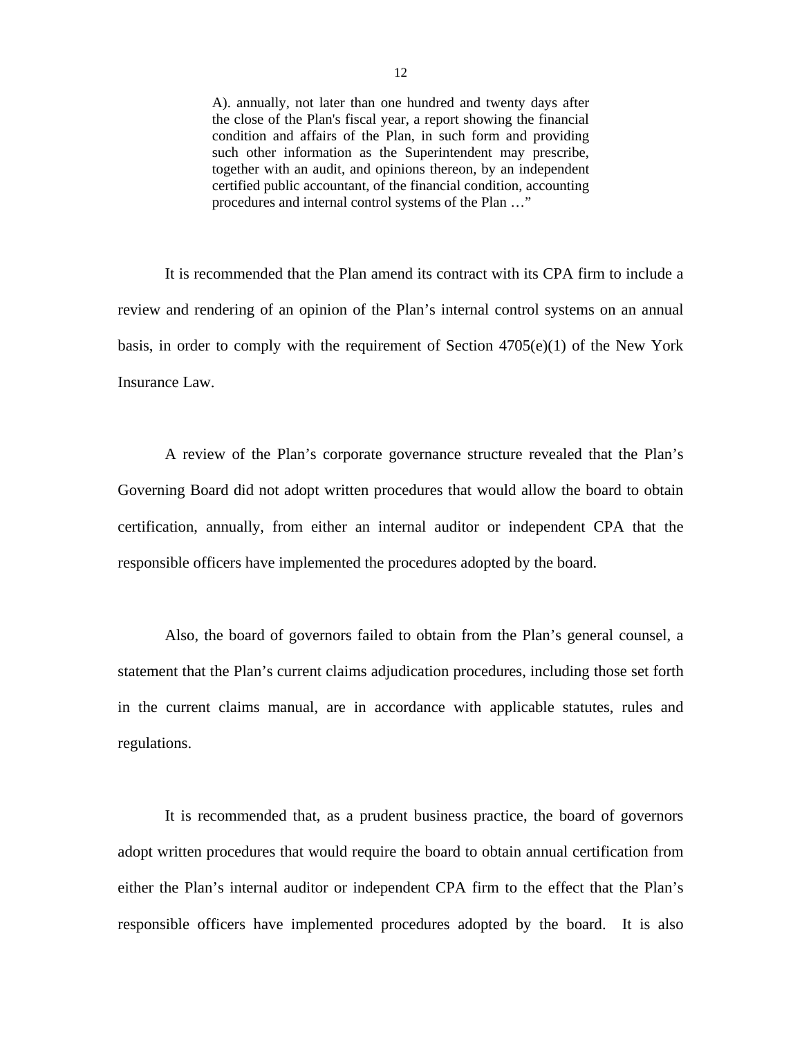A). annually, not later than one hundred and twenty days after the close of the Plan's fiscal year, a report showing the financial condition and affairs of the Plan, in such form and providing such other information as the Superintendent may prescribe, together with an audit, and opinions thereon, by an independent certified public accountant, of the financial condition, accounting procedures and internal control systems of the Plan …"

It is recommended that the Plan amend its contract with its CPA firm to include a review and rendering of an opinion of the Plan's internal control systems on an annual basis, in order to comply with the requirement of Section  $4705(e)(1)$  of the New York Insurance Law.

A review of the Plan's corporate governance structure revealed that the Plan's Governing Board did not adopt written procedures that would allow the board to obtain certification, annually, from either an internal auditor or independent CPA that the responsible officers have implemented the procedures adopted by the board.

Also, the board of governors failed to obtain from the Plan's general counsel, a statement that the Plan's current claims adjudication procedures, including those set forth in the current claims manual, are in accordance with applicable statutes, rules and regulations.

It is recommended that, as a prudent business practice, the board of governors adopt written procedures that would require the board to obtain annual certification from either the Plan's internal auditor or independent CPA firm to the effect that the Plan's responsible officers have implemented procedures adopted by the board. It is also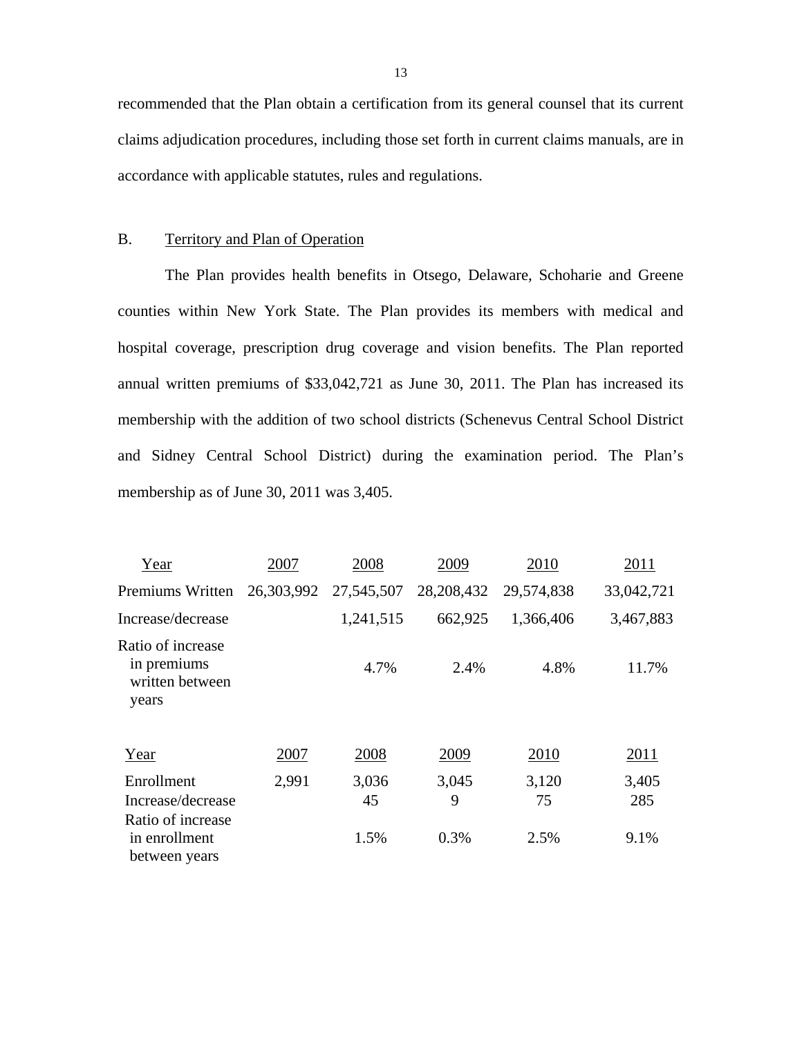recommended that the Plan obtain a certification from its general counsel that its current claims adjudication procedures, including those set forth in current claims manuals, are in accordance with applicable statutes, rules and regulations.

#### B. Territory and Plan of Operation

The Plan provides health benefits in Otsego, Delaware, Schoharie and Greene counties within New York State. The Plan provides its members with medical and hospital coverage, prescription drug coverage and vision benefits. The Plan reported annual written premiums of \$33,042,721 as June 30, 2011. The Plan has increased its membership with the addition of two school districts (Schenevus Central School District and Sidney Central School District) during the examination period. The Plan's membership as of June 30, 2011 was 3,405.

| Year                                                         | 2007       | 2008        | 2009       | 2010        | 2011         |
|--------------------------------------------------------------|------------|-------------|------------|-------------|--------------|
| Premiums Written                                             | 26,303,992 | 27,545,507  | 28,208,432 | 29,574,838  | 33,042,721   |
| Increase/decrease                                            |            | 1,241,515   | 662,925    | 1,366,406   | 3,467,883    |
| Ratio of increase<br>in premiums<br>written between<br>years |            | 4.7%        | 2.4%       | 4.8%        | 11.7%        |
| Year                                                         | 2007       | 2008        | 2009       | 2010        | <u>2011</u>  |
| Enrollment<br>Increase/decrease                              | 2,991      | 3,036<br>45 | 3,045<br>9 | 3,120<br>75 | 3,405<br>285 |
| Ratio of increase<br>in enrollment<br>between years          |            | 1.5%        | 0.3%       | 2.5%        | 9.1%         |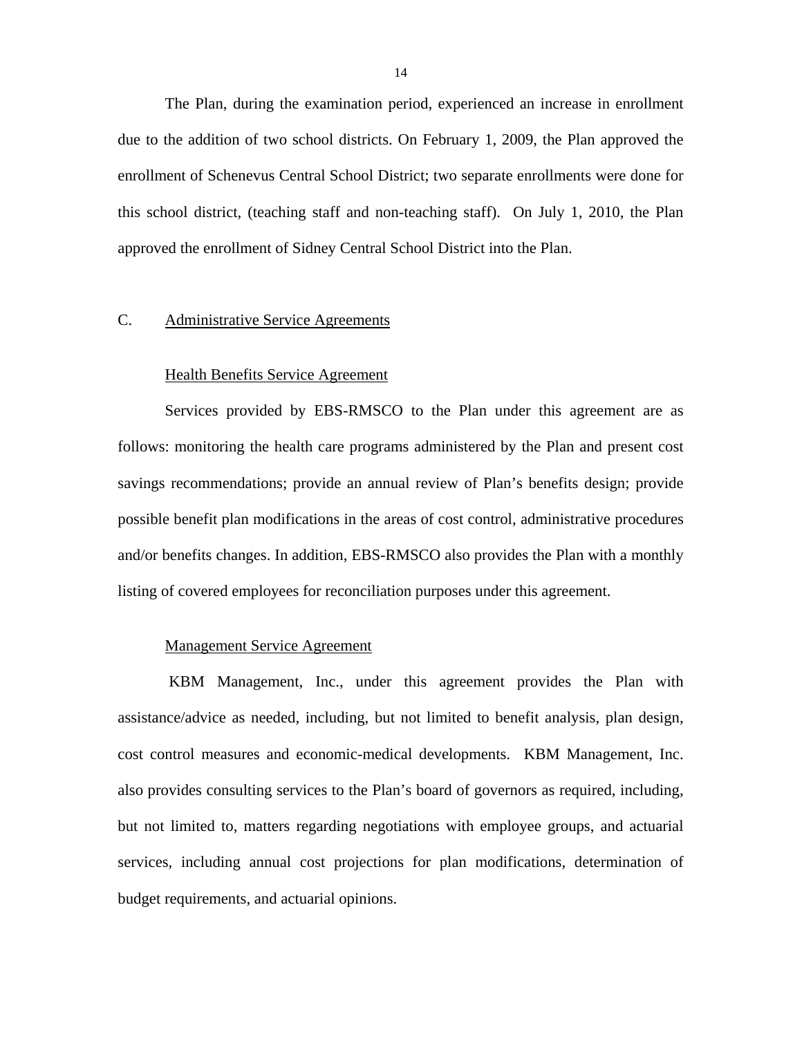<span id="page-15-0"></span>The Plan, during the examination period, experienced an increase in enrollment due to the addition of two school districts. On February 1, 2009, the Plan approved the enrollment of Schenevus Central School District; two separate enrollments were done for this school district, (teaching staff and non-teaching staff). On July 1, 2010, the Plan approved the enrollment of Sidney Central School District into the Plan.

#### C. Administrative Service Agreements

#### Health Benefits Service Agreement

Services provided by EBS-RMSCO to the Plan under this agreement are as follows: monitoring the health care programs administered by the Plan and present cost savings recommendations; provide an annual review of Plan's benefits design; provide possible benefit plan modifications in the areas of cost control, administrative procedures and/or benefits changes. In addition, EBS-RMSCO also provides the Plan with a monthly listing of covered employees for reconciliation purposes under this agreement.

#### Management Service Agreement

KBM Management, Inc., under this agreement provides the Plan with assistance/advice as needed, including, but not limited to benefit analysis, plan design, cost control measures and economic-medical developments. KBM Management, Inc. also provides consulting services to the Plan's board of governors as required, including, but not limited to, matters regarding negotiations with employee groups, and actuarial services, including annual cost projections for plan modifications, determination of budget requirements, and actuarial opinions.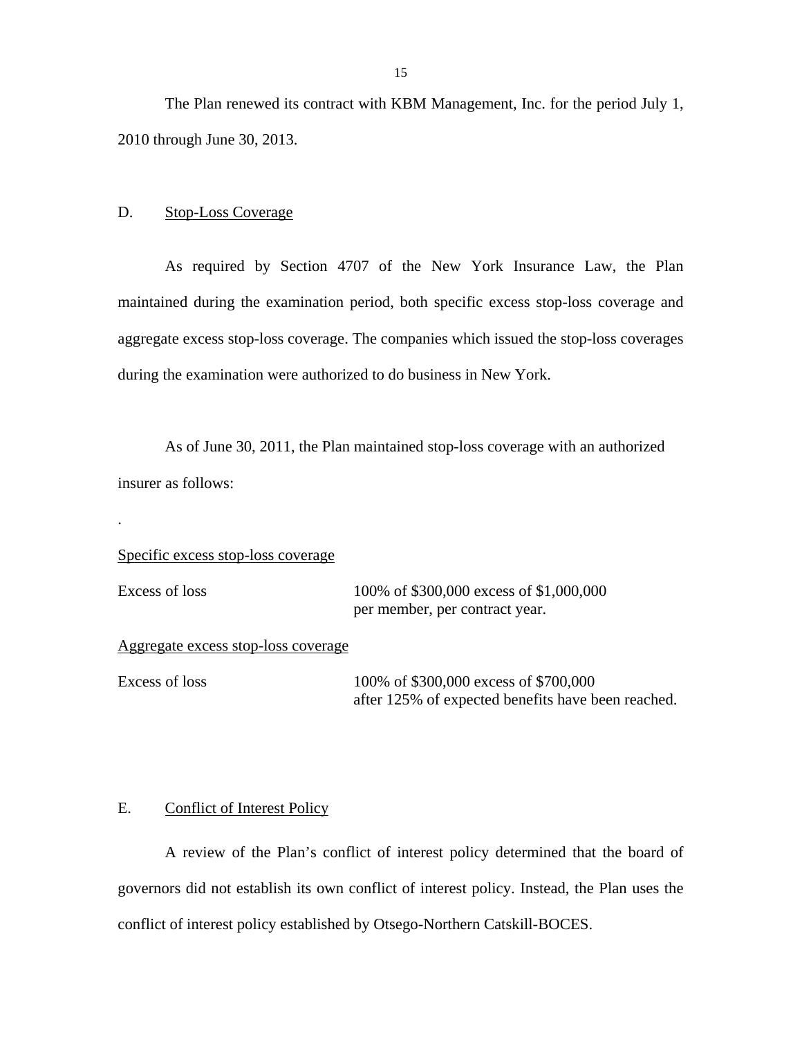<span id="page-16-0"></span>The Plan renewed its contract with KBM Management, Inc. for the period July 1, 2010 through June 30, 2013.

#### $\mathbf{D}$ . Stop-Loss Coverage

As required by Section 4707 of the New York Insurance Law, the Plan maintained during the examination period, both specific excess stop-loss coverage and aggregate excess stop-loss coverage. The companies which issued the stop-loss coverages during the examination were authorized to do business in New York.

As of June 30, 2011, the Plan maintained stop-loss coverage with an authorized insurer as follows:

Specific excess stop-loss coverage

.

Excess of loss 100% of \$300,000 excess of \$1,000,000 per member, per contract year.

Aggregate excess stop-loss coverage

Excess of loss 100% of \$300,000 excess of \$700,000 after 125% of expected benefits have been reached.

## E. Conflict of Interest Policy

A review of the Plan's conflict of interest policy determined that the board of governors did not establish its own conflict of interest policy. Instead, the Plan uses the conflict of interest policy established by Otsego-Northern Catskill-BOCES.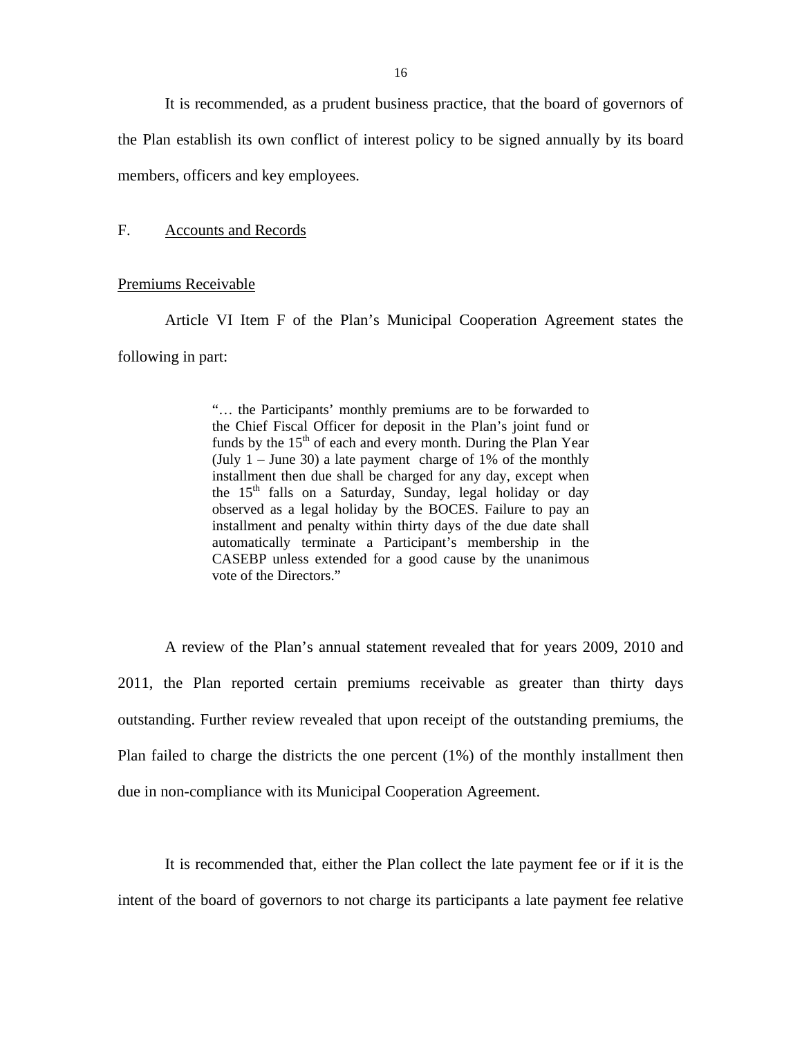<span id="page-17-0"></span>It is recommended, as a prudent business practice, that the board of governors of the Plan establish its own conflict of interest policy to be signed annually by its board members, officers and key employees.

## F. Accounts and Records

#### Premiums Receivable

Article VI Item F of the Plan's Municipal Cooperation Agreement states the following in part:

> "… the Participants' monthly premiums are to be forwarded to the Chief Fiscal Officer for deposit in the Plan's joint fund or funds by the  $15<sup>th</sup>$  of each and every month. During the Plan Year (July  $1 -$  June 30) a late payment charge of 1% of the monthly installment then due shall be charged for any day, except when the  $15<sup>th</sup>$  falls on a Saturday, Sunday, legal holiday or day observed as a legal holiday by the BOCES. Failure to pay an installment and penalty within thirty days of the due date shall automatically terminate a Participant's membership in the CASEBP unless extended for a good cause by the unanimous vote of the Directors."

A review of the Plan's annual statement revealed that for years 2009, 2010 and 2011, the Plan reported certain premiums receivable as greater than thirty days outstanding. Further review revealed that upon receipt of the outstanding premiums, the Plan failed to charge the districts the one percent (1%) of the monthly installment then due in non-compliance with its Municipal Cooperation Agreement.

It is recommended that, either the Plan collect the late payment fee or if it is the intent of the board of governors to not charge its participants a late payment fee relative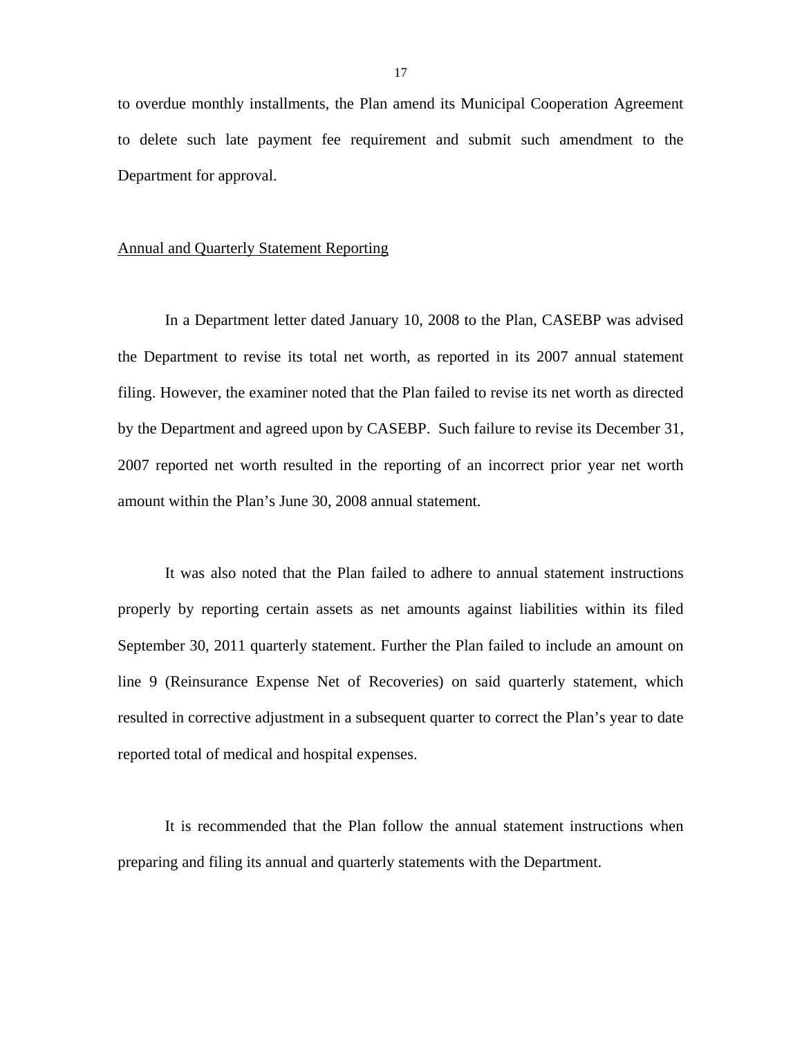to overdue monthly installments, the Plan amend its Municipal Cooperation Agreement to delete such late payment fee requirement and submit such amendment to the Department for approval.

#### Annual and Quarterly Statement Reporting

In a Department letter dated January 10, 2008 to the Plan, CASEBP was advised the Department to revise its total net worth, as reported in its 2007 annual statement filing. However, the examiner noted that the Plan failed to revise its net worth as directed by the Department and agreed upon by CASEBP. Such failure to revise its December 31, 2007 reported net worth resulted in the reporting of an incorrect prior year net worth amount within the Plan's June 30, 2008 annual statement.

It was also noted that the Plan failed to adhere to annual statement instructions properly by reporting certain assets as net amounts against liabilities within its filed September 30, 2011 quarterly statement. Further the Plan failed to include an amount on line 9 (Reinsurance Expense Net of Recoveries) on said quarterly statement, which resulted in corrective adjustment in a subsequent quarter to correct the Plan's year to date reported total of medical and hospital expenses.

It is recommended that the Plan follow the annual statement instructions when preparing and filing its annual and quarterly statements with the Department.

17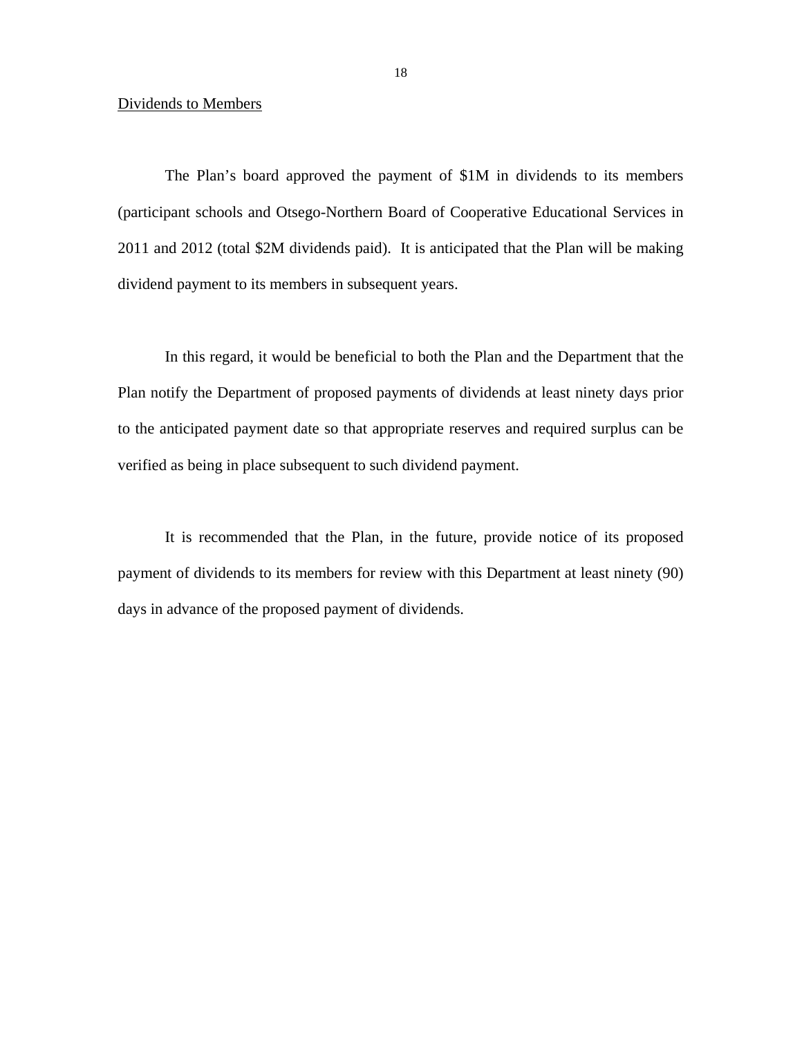#### Dividends to Members

The Plan's board approved the payment of \$1M in dividends to its members (participant schools and Otsego-Northern Board of Cooperative Educational Services in 2011 and 2012 (total \$2M dividends paid). It is anticipated that the Plan will be making dividend payment to its members in subsequent years.

In this regard, it would be beneficial to both the Plan and the Department that the Plan notify the Department of proposed payments of dividends at least ninety days prior to the anticipated payment date so that appropriate reserves and required surplus can be verified as being in place subsequent to such dividend payment.

It is recommended that the Plan, in the future, provide notice of its proposed payment of dividends to its members for review with this Department at least ninety (90) days in advance of the proposed payment of dividends.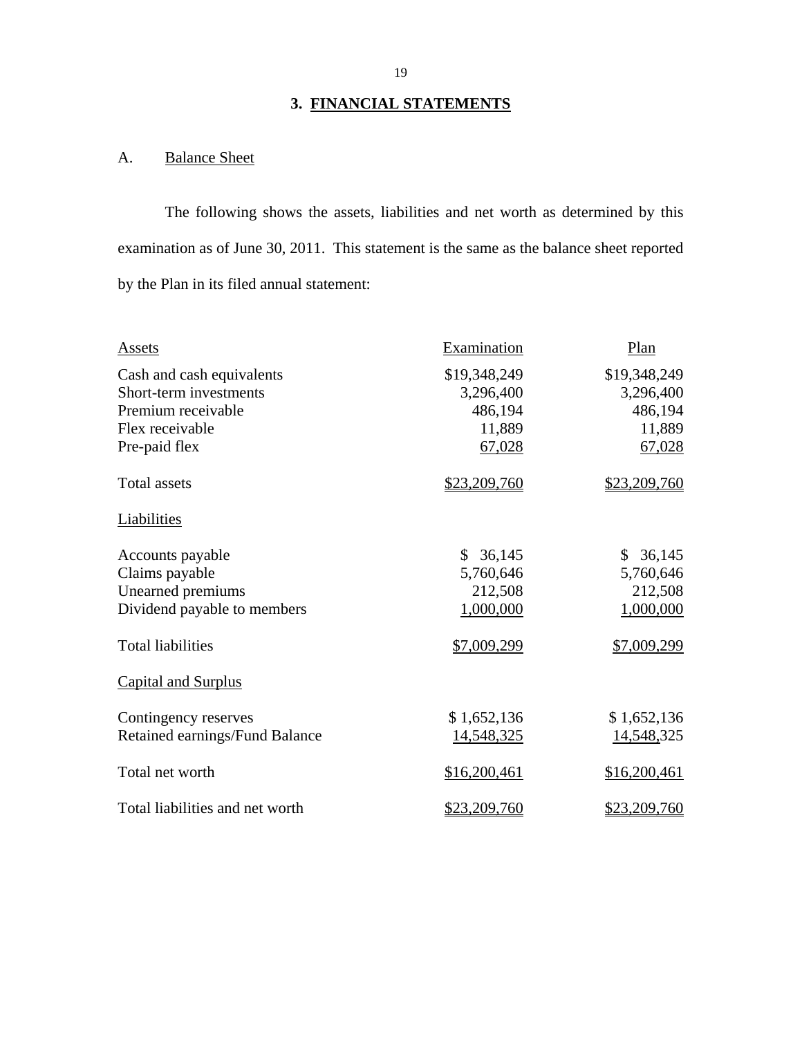# **3. FINANCIAL STATEMENTS**

# A. Balance Sheet

The following shows the assets, liabilities and net worth as determined by this examination as of June 30, 2011. This statement is the same as the balance sheet reported by the Plan in its filed annual statement:

| Assets                          | Examination            | Plan         |
|---------------------------------|------------------------|--------------|
| Cash and cash equivalents       | \$19,348,249           | \$19,348,249 |
| Short-term investments          | 3,296,400              | 3,296,400    |
| Premium receivable              | 486,194                | 486,194      |
| Flex receivable                 | 11,889                 | 11,889       |
| Pre-paid flex                   | 67,028                 | 67,028       |
| <b>Total assets</b>             | \$23,209,760           | \$23,209,760 |
| Liabilities                     |                        |              |
| Accounts payable                | 36,145<br>$\mathbb{S}$ | 36,145<br>\$ |
| Claims payable                  | 5,760,646              | 5,760,646    |
| Unearned premiums               | 212,508                | 212,508      |
| Dividend payable to members     | 1,000,000              | 1,000,000    |
| <b>Total liabilities</b>        | \$7,009,299            | \$7,009,299  |
| <b>Capital and Surplus</b>      |                        |              |
| Contingency reserves            | \$1,652,136            | \$1,652,136  |
| Retained earnings/Fund Balance  | 14,548,325             | 14,548,325   |
| Total net worth                 | \$16,200,461           | \$16,200,461 |
| Total liabilities and net worth | \$23,209,760           | \$23,209,760 |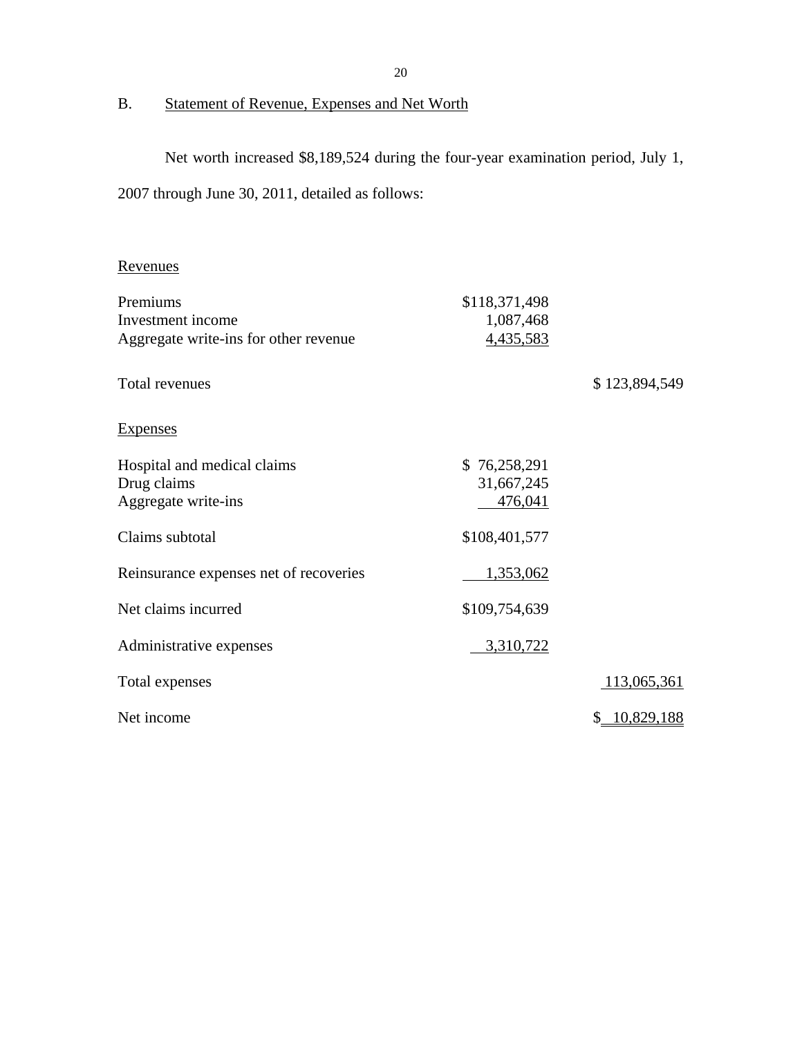# B. Statement of Revenue, Expenses and Net Worth

Net worth increased \$8,189,524 during the four-year examination period, July 1,

2007 through June 30, 2011, detailed as follows:

# Revenues

| Premiums                               | \$118,371,498 |               |
|----------------------------------------|---------------|---------------|
| Investment income                      | 1,087,468     |               |
| Aggregate write-ins for other revenue  | 4,435,583     |               |
| Total revenues                         |               | \$123,894,549 |
| <b>Expenses</b>                        |               |               |
| Hospital and medical claims            | \$76,258,291  |               |
| Drug claims                            | 31,667,245    |               |
| Aggregate write-ins                    | 476,041       |               |
| Claims subtotal                        | \$108,401,577 |               |
| Reinsurance expenses net of recoveries | 1,353,062     |               |
| Net claims incurred                    | \$109,754,639 |               |
| Administrative expenses                | 3,310,722     |               |
| Total expenses                         |               | 113,065,361   |
| Net income                             |               | 10,829,188    |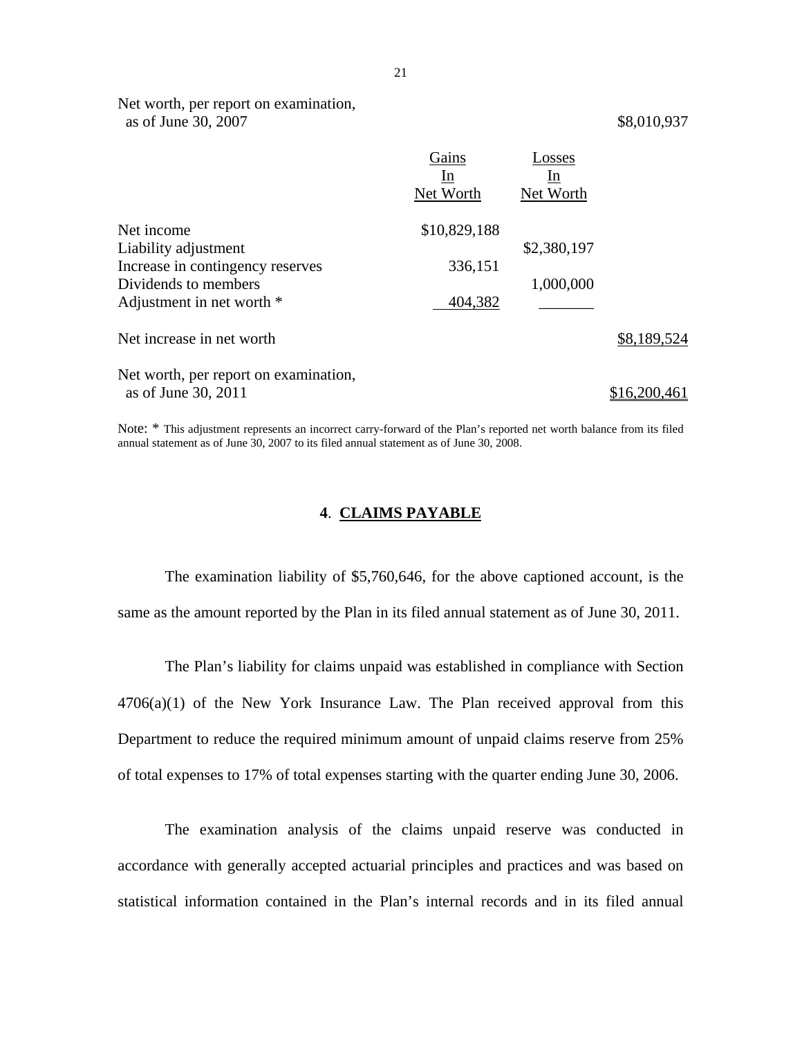Net worth, per report on examination, as of June 30, 2007 \$8,010,937

|                                       | Gains<br>ln<br>Net Worth | Losses<br>In.<br>Net Worth |              |
|---------------------------------------|--------------------------|----------------------------|--------------|
| Net income                            | \$10,829,188             |                            |              |
| Liability adjustment                  |                          | \$2,380,197                |              |
| Increase in contingency reserves      | 336,151                  |                            |              |
| Dividends to members                  |                          | 1,000,000                  |              |
| Adjustment in net worth *             | 404,382                  |                            |              |
| Net increase in net worth             |                          |                            | \$8,189,524  |
| Net worth, per report on examination, |                          |                            |              |
| as of June 30, 2011                   |                          |                            | \$16,200,461 |

Note: \* This adjustment represents an incorrect carry-forward of the Plan's reported net worth balance from its filed annual statement as of June 30, 2007 to its filed annual statement as of June 30, 2008.

#### **4**. **CLAIMS PAYABLE**

The examination liability of \$5,760,646, for the above captioned account, is the same as the amount reported by the Plan in its filed annual statement as of June 30, 2011.

The Plan's liability for claims unpaid was established in compliance with Section  $4706(a)(1)$  of the New York Insurance Law. The Plan received approval from this Department to reduce the required minimum amount of unpaid claims reserve from 25% of total expenses to 17% of total expenses starting with the quarter ending June 30, 2006.

The examination analysis of the claims unpaid reserve was conducted in accordance with generally accepted actuarial principles and practices and was based on statistical information contained in the Plan's internal records and in its filed annual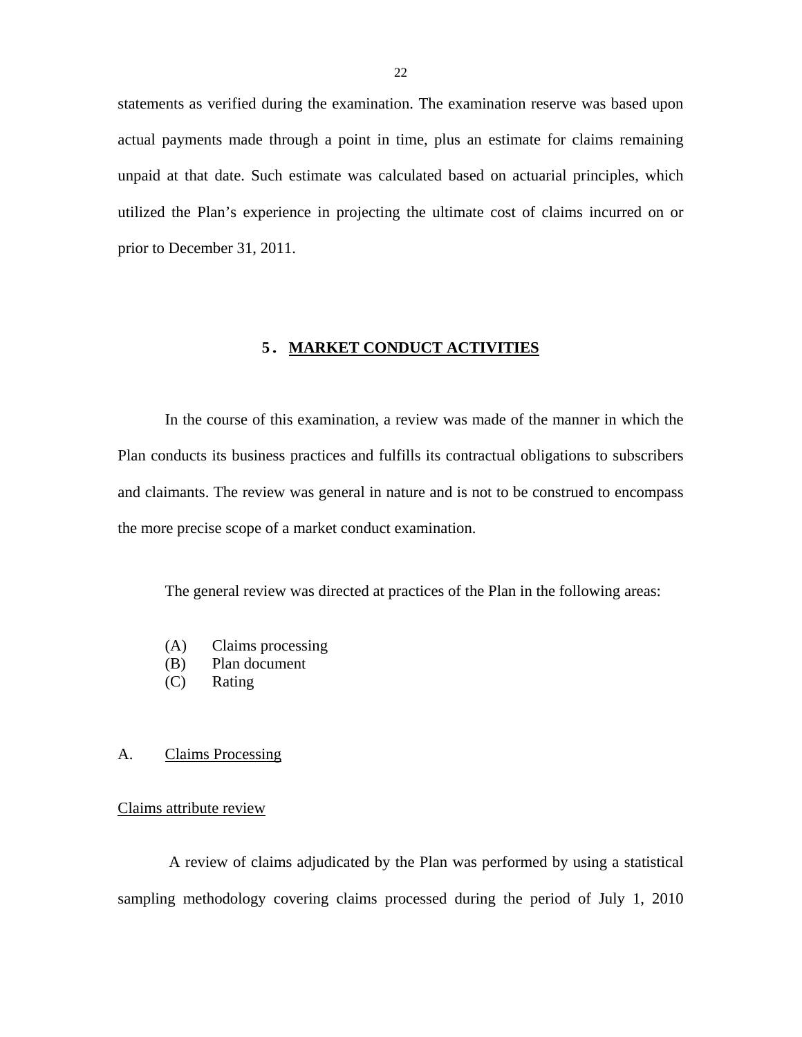<span id="page-23-0"></span>statements as verified during the examination. The examination reserve was based upon actual payments made through a point in time, plus an estimate for claims remaining unpaid at that date. Such estimate was calculated based on actuarial principles, which utilized the Plan's experience in projecting the ultimate cost of claims incurred on or prior to December 31, 2011.

## **5. MARKET CONDUCT ACTIVITIES**

In the course of this examination, a review was made of the manner in which the Plan conducts its business practices and fulfills its contractual obligations to subscribers and claimants. The review was general in nature and is not to be construed to encompass the more precise scope of a market conduct examination.

The general review was directed at practices of the Plan in the following areas:

- (A) Claims processing
- (B) Plan document
- (C) Rating

#### A. Claims Processing

#### Claims attribute review

A review of claims adjudicated by the Plan was performed by using a statistical sampling methodology covering claims processed during the period of July 1, 2010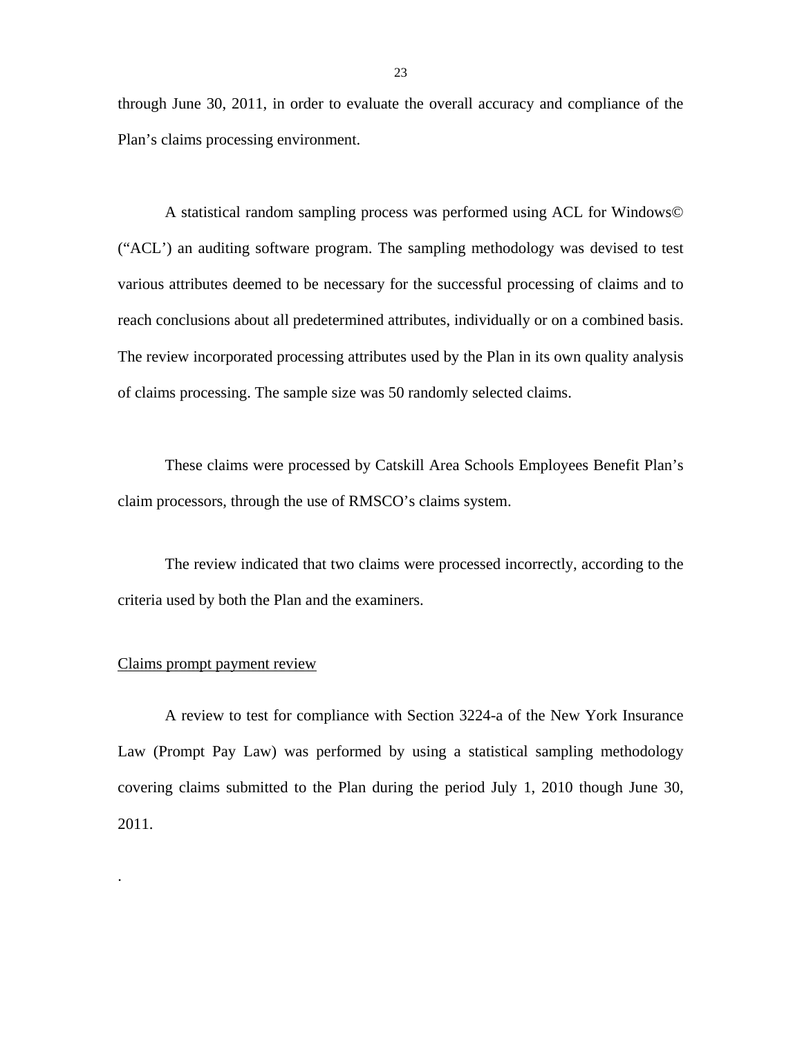through June 30, 2011, in order to evaluate the overall accuracy and compliance of the Plan's claims processing environment.

A statistical random sampling process was performed using ACL for Windows© ("ACL') an auditing software program. The sampling methodology was devised to test various attributes deemed to be necessary for the successful processing of claims and to reach conclusions about all predetermined attributes, individually or on a combined basis. The review incorporated processing attributes used by the Plan in its own quality analysis of claims processing. The sample size was 50 randomly selected claims.

These claims were processed by Catskill Area Schools Employees Benefit Plan's claim processors, through the use of RMSCO's claims system.

The review indicated that two claims were processed incorrectly, according to the criteria used by both the Plan and the examiners.

#### Claims prompt payment review

.

A review to test for compliance with Section 3224-a of the New York Insurance Law (Prompt Pay Law) was performed by using a statistical sampling methodology covering claims submitted to the Plan during the period July 1, 2010 though June 30, 2011.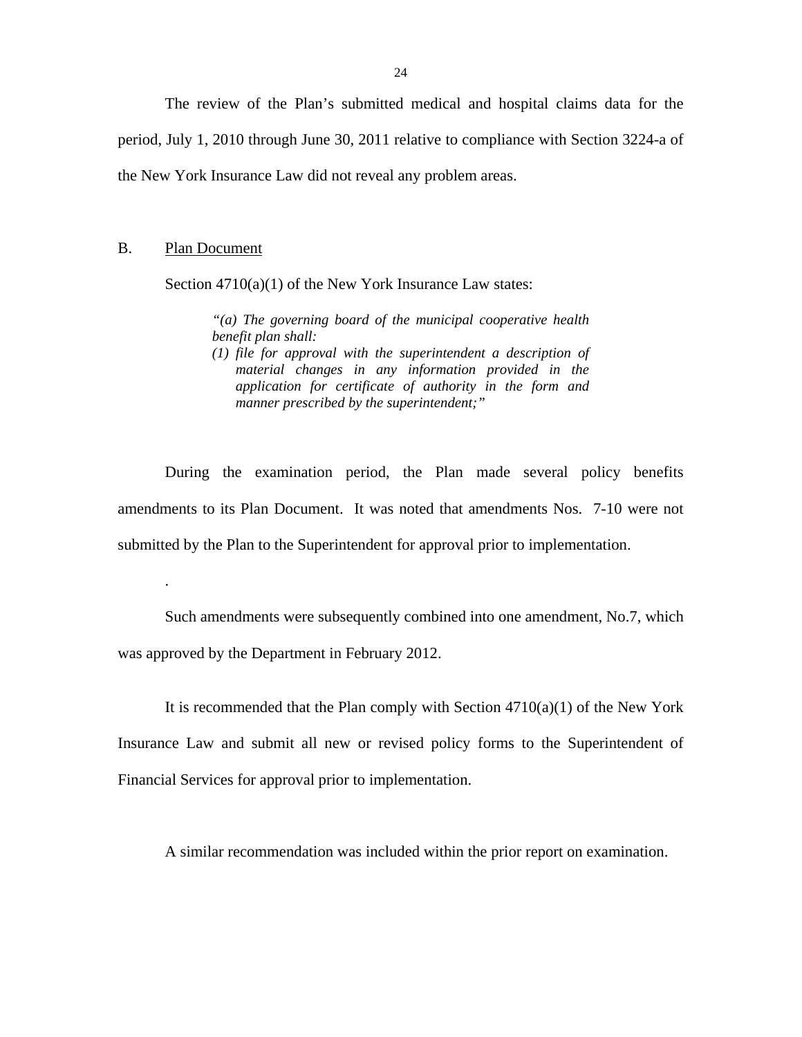The review of the Plan's submitted medical and hospital claims data for the period, July 1, 2010 through June 30, 2011 relative to compliance with Section 3224-a of the New York Insurance Law did not reveal any problem areas.

### B. Plan Document

.

Section  $4710(a)(1)$  of the New York Insurance Law states:

*"(a) The governing board of the municipal cooperative health benefit plan shall:* 

*(1) file for approval with the superintendent a description of material changes in any information provided in the application for certificate of authority in the form and manner prescribed by the superintendent;"* 

During the examination period, the Plan made several policy benefits amendments to its Plan Document. It was noted that amendments Nos. 7-10 were not submitted by the Plan to the Superintendent for approval prior to implementation.

Such amendments were subsequently combined into one amendment, No.7, which was approved by the Department in February 2012.

It is recommended that the Plan comply with Section  $4710(a)(1)$  of the New York Insurance Law and submit all new or revised policy forms to the Superintendent of Financial Services for approval prior to implementation.

A similar recommendation was included within the prior report on examination.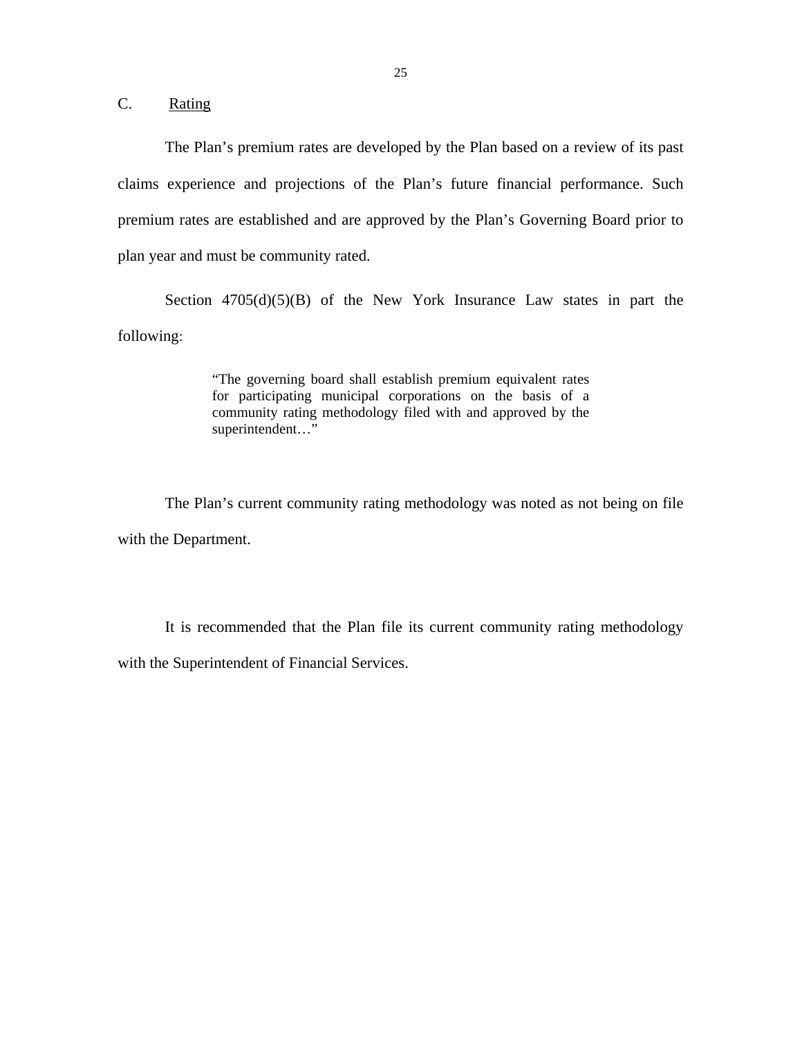C. Rating

The Plan's premium rates are developed by the Plan based on a review of its past claims experience and projections of the Plan's future financial performance. Such premium rates are established and are approved by the Plan's Governing Board prior to plan year and must be community rated.

Section  $4705(d)(5)(B)$  of the New York Insurance Law states in part the following:

> "The governing board shall establish premium equivalent rates for participating municipal corporations on the basis of a community rating methodology filed with and approved by the superintendent…"

The Plan's current community rating methodology was noted as not being on file with the Department.

It is recommended that the Plan file its current community rating methodology with the Superintendent of Financial Services.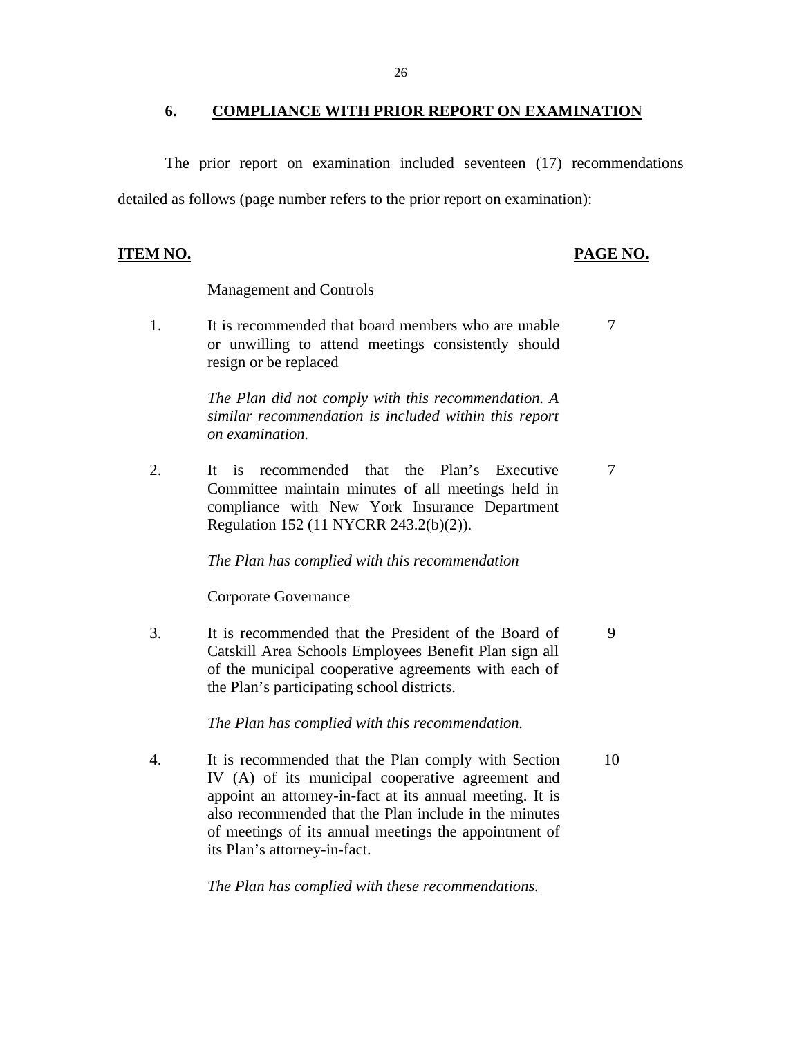## <span id="page-27-0"></span>**6. COMPLIANCE WITH PRIOR REPORT ON EXAMINATION**

The prior report on examination included seventeen (17) recommendations detailed as follows (page number refers to the prior report on examination):

#### **ITEM NO. PAGE NO.**

#### Management and Controls

1. It is recommended that board members who are unable 7 or unwilling to attend meetings consistently should resign or be replaced

> *The Plan did not comply with this recommendation. A similar recommendation is included within this report on examination.*

2. It is recommended that the Plan's Executive 7 Committee maintain minutes of all meetings held in compliance with New York Insurance Department Regulation 152 (11 NYCRR 243.2(b)(2)).

*The Plan has complied with this recommendation* 

#### Corporate Governance

3. It is recommended that the President of the Board of 9 Catskill Area Schools Employees Benefit Plan sign all of the municipal cooperative agreements with each of the Plan's participating school districts.

#### *The Plan has complied with this recommendation.*

4. It is recommended that the Plan comply with Section 10 IV (A) of its municipal cooperative agreement and appoint an attorney-in-fact at its annual meeting. It is also recommended that the Plan include in the minutes of meetings of its annual meetings the appointment of its Plan's attorney-in-fact.

*The Plan has complied with these recommendations.*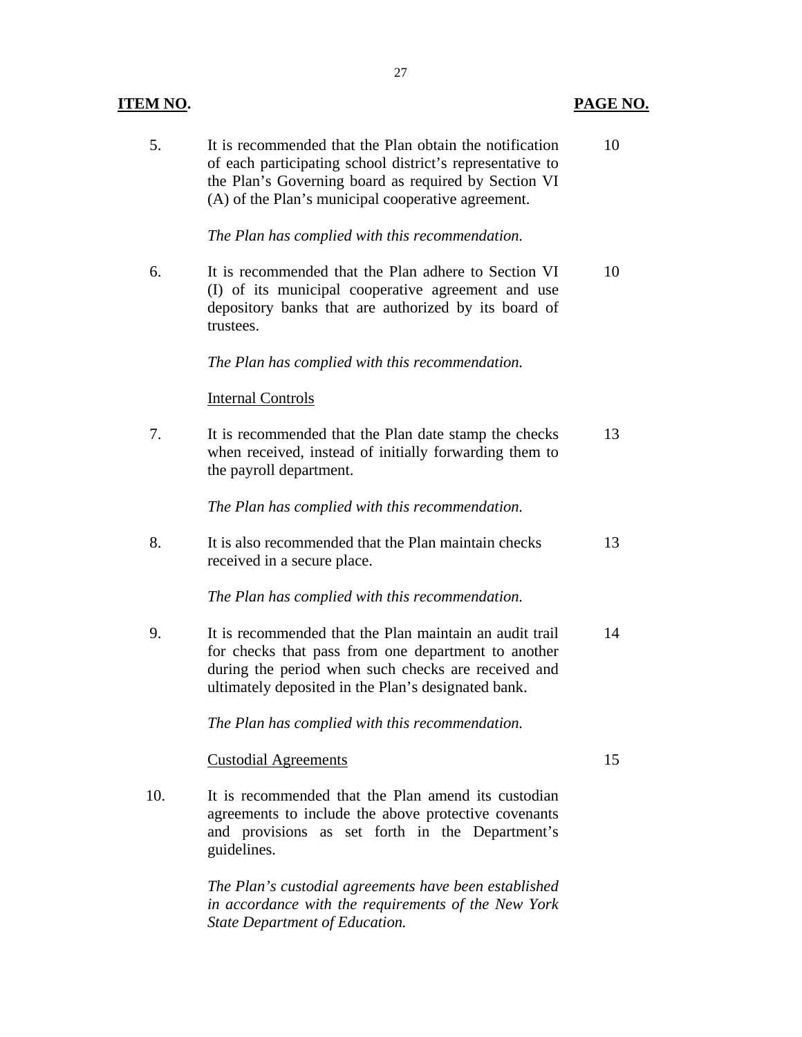# **PAGE NO.**

| 5.  | It is recommended that the Plan obtain the notification<br>of each participating school district's representative to<br>the Plan's Governing board as required by Section VI<br>(A) of the Plan's municipal cooperative agreement. | 10 |
|-----|------------------------------------------------------------------------------------------------------------------------------------------------------------------------------------------------------------------------------------|----|
|     | The Plan has complied with this recommendation.                                                                                                                                                                                    |    |
| 6.  | It is recommended that the Plan adhere to Section VI<br>(I) of its municipal cooperative agreement and use<br>depository banks that are authorized by its board of<br>trustees.                                                    | 10 |
|     | The Plan has complied with this recommendation.                                                                                                                                                                                    |    |
|     | <b>Internal Controls</b>                                                                                                                                                                                                           |    |
| 7.  | It is recommended that the Plan date stamp the checks<br>when received, instead of initially forwarding them to<br>the payroll department.                                                                                         | 13 |
|     | The Plan has complied with this recommendation.                                                                                                                                                                                    |    |
| 8.  | It is also recommended that the Plan maintain checks<br>received in a secure place.                                                                                                                                                | 13 |
|     | The Plan has complied with this recommendation.                                                                                                                                                                                    |    |
| 9.  | It is recommended that the Plan maintain an audit trail<br>for checks that pass from one department to another<br>during the period when such checks are received and<br>ultimately deposited in the Plan's designated bank.       | 14 |
|     | The Plan has complied with this recommendation.                                                                                                                                                                                    |    |
|     | <b>Custodial Agreements</b>                                                                                                                                                                                                        | 15 |
| 10. | It is recommended that the Plan amend its custodian<br>agreements to include the above protective covenants<br>and provisions as set forth in the Department's<br>guidelines.                                                      |    |
|     | The Plan's custodial agreements have been established<br>in accordance with the requirements of the New York<br>State Department of Education.                                                                                     |    |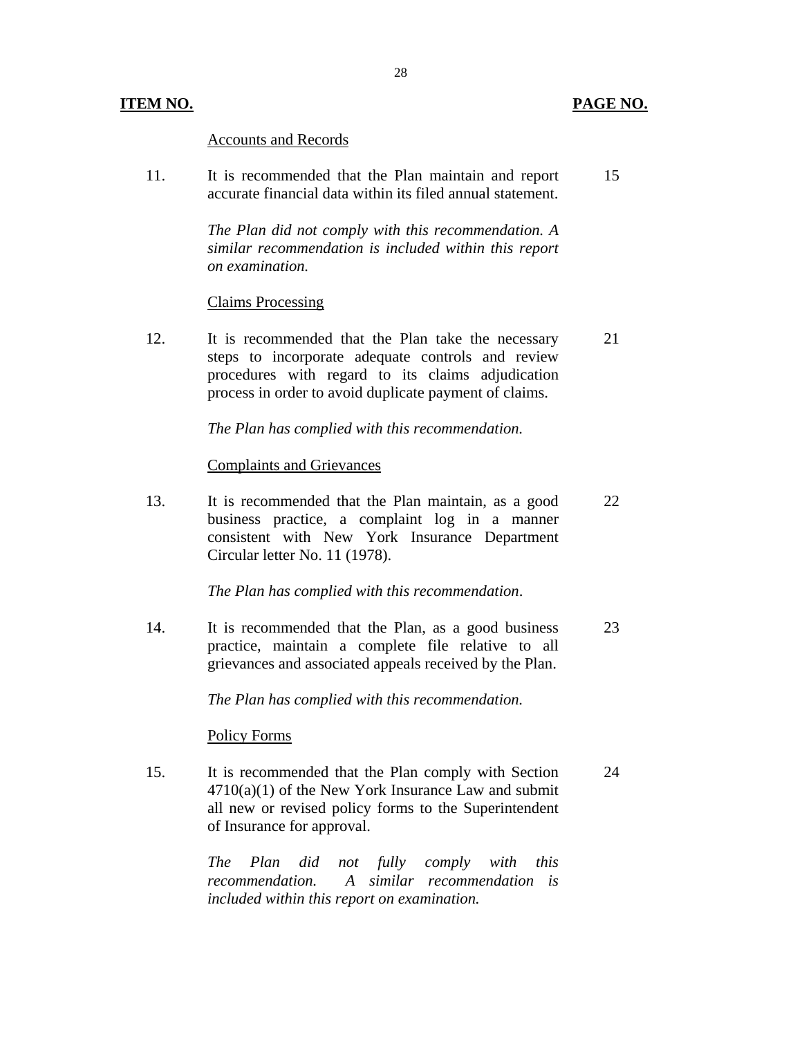### **ITEM NO. PAGE NO.**

## Accounts and Records

11. It is recommended that the Plan maintain and report 15 accurate financial data within its filed annual statement.

> *The Plan did not comply with this recommendation. A similar recommendation is included within this report on examination.*

#### Claims Processing

12. It is recommended that the Plan take the necessary 21 steps to incorporate adequate controls and review procedures with regard to its claims adjudication process in order to avoid duplicate payment of claims.

*The Plan has complied with this recommendation.* 

#### Complaints and Grievances

13. It is recommended that the Plan maintain, as a good 22 business practice, a complaint log in a manner consistent with New York Insurance Department Circular letter No. 11 (1978).

*The Plan has complied with this recommendation*.

14. It is recommended that the Plan, as a good business 23 practice, maintain a complete file relative to all grievances and associated appeals received by the Plan.

*The Plan has complied with this recommendation.* 

#### Policy Forms

15. It is recommended that the Plan comply with Section 24  $4710(a)(1)$  of the New York Insurance Law and submit all new or revised policy forms to the Superintendent of Insurance for approval.

> *The Plan did not fully comply with this recommendation. A similar recommendation is included within this report on examination.*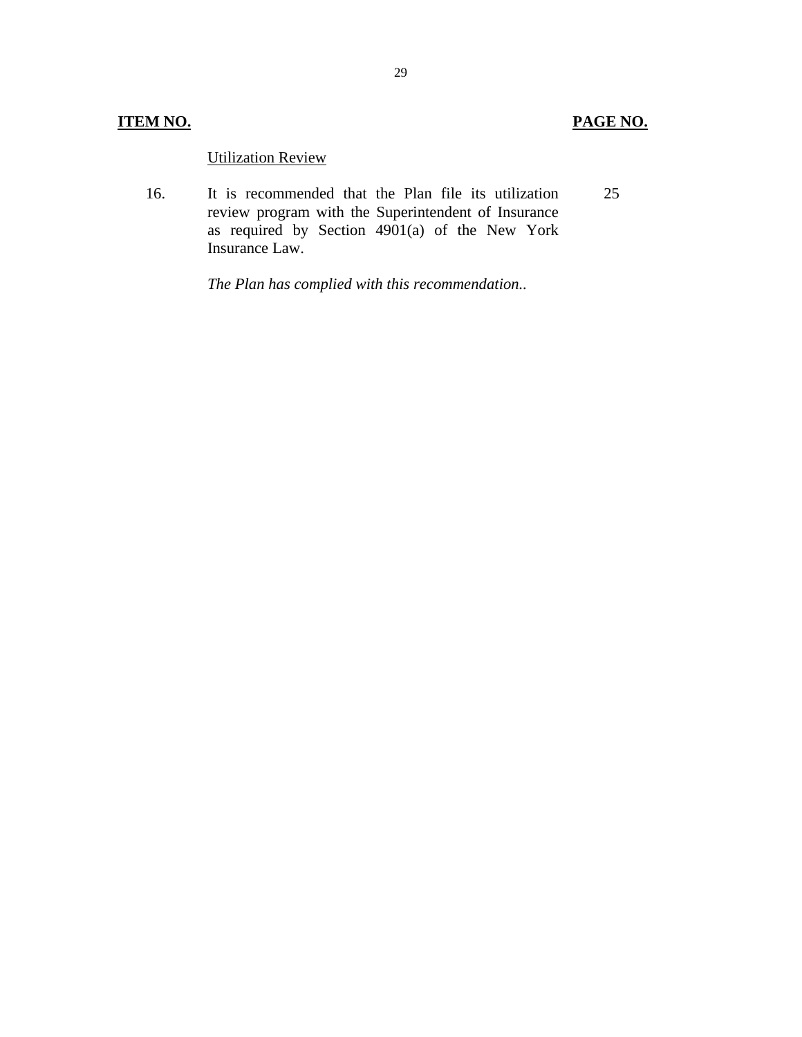# **ITEM NO. PAGE NO.**

## Utilization Review

16. It is recommended that the Plan file its utilization review program with the Superintendent of Insurance as required by Section 4901(a) of the New York Insurance Law. 25

*The Plan has complied with this recommendation..*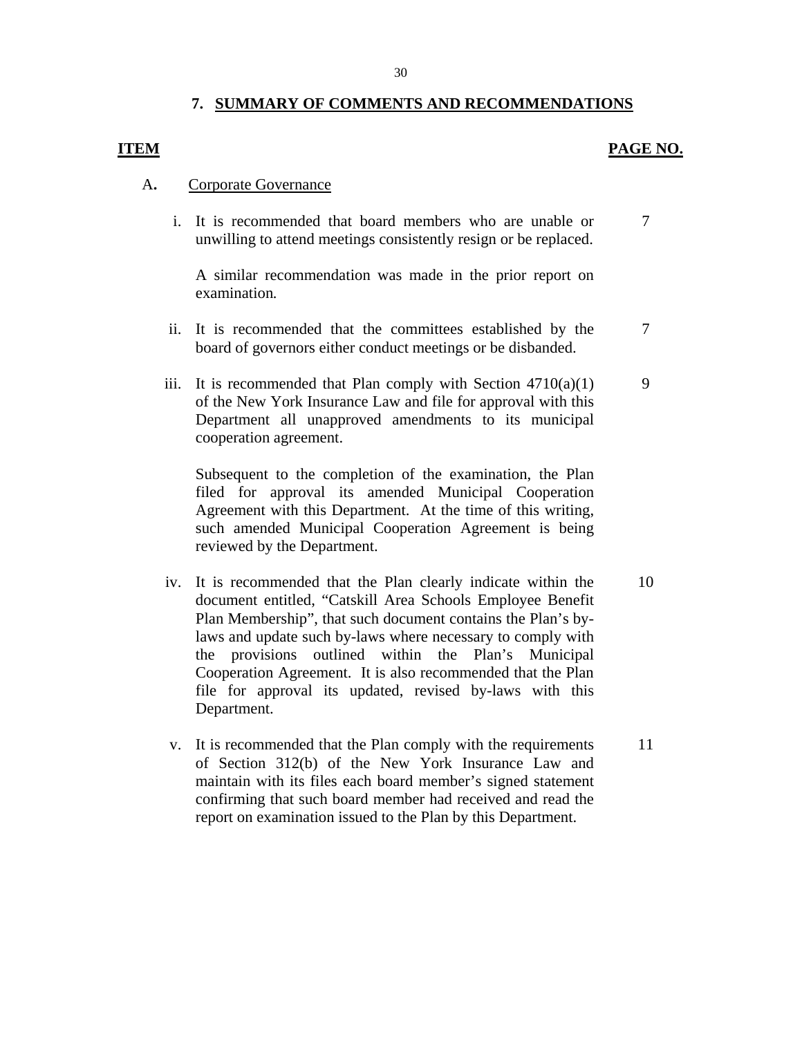## **7. SUMMARY OF COMMENTS AND RECOMMENDATIONS**

## **ITEM PAGE NO.**

## A**.** Corporate Governance

i. It is recommended that board members who are unable or unwilling to attend meetings consistently resign or be replaced. 7

A similar recommendation was made in the prior report on examination*.* 

- ii. It is recommended that the committees established by the board of governors either conduct meetings or be disbanded. 7
- iii. It is recommended that Plan comply with Section  $4710(a)(1)$ of the New York Insurance Law and file for approval with this Department all unapproved amendments to its municipal cooperation agreement.

Subsequent to the completion of the examination, the Plan filed for approval its amended Municipal Cooperation Agreement with this Department. At the time of this writing, such amended Municipal Cooperation Agreement is being reviewed by the Department.

- iv. It is recommended that the Plan clearly indicate within the document entitled, "Catskill Area Schools Employee Benefit Plan Membership", that such document contains the Plan's bylaws and update such by-laws where necessary to comply with the provisions outlined within the Plan's Municipal Cooperation Agreement. It is also recommended that the Plan file for approval its updated, revised by-laws with this Department.
- v. It is recommended that the Plan comply with the requirements of Section 312(b) of the New York Insurance Law and maintain with its files each board member's signed statement confirming that such board member had received and read the report on examination issued to the Plan by this Department.

10

11

9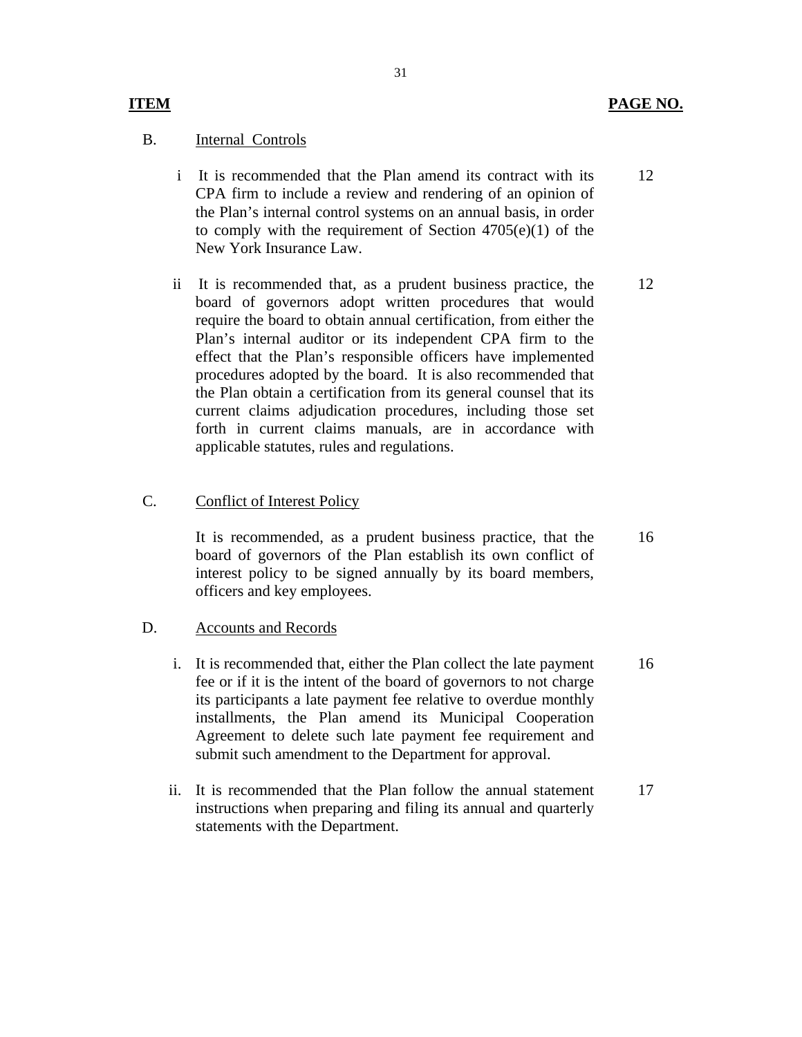#### **ITEM**

#### B. Internal Controls

- i It is recommended that the Plan amend its contract with its CPA firm to include a review and rendering of an opinion of the Plan's internal control systems on an annual basis, in order to comply with the requirement of Section  $4705(e)(1)$  of the New York Insurance Law.
- ii It is recommended that, as a prudent business practice, the board of governors adopt written procedures that would require the board to obtain annual certification, from either the Plan's internal auditor or its independent CPA firm to the effect that the Plan's responsible officers have implemented procedures adopted by the board. It is also recommended that the Plan obtain a certification from its general counsel that its current claims adjudication procedures, including those set forth in current claims manuals, are in accordance with applicable statutes, rules and regulations.

#### C. Conflict of Interest Policy

It is recommended, as a prudent business practice, that the board of governors of the Plan establish its own conflict of interest policy to be signed annually by its board members, officers and key employees.

#### D. Accounts and Records

- i. It is recommended that, either the Plan collect the late payment fee or if it is the intent of the board of governors to not charge its participants a late payment fee relative to overdue monthly installments, the Plan amend its Municipal Cooperation Agreement to delete such late payment fee requirement and submit such amendment to the Department for approval. 16
- ii. It is recommended that the Plan follow the annual statement instructions when preparing and filing its annual and quarterly statements with the Department. 17

12

12

16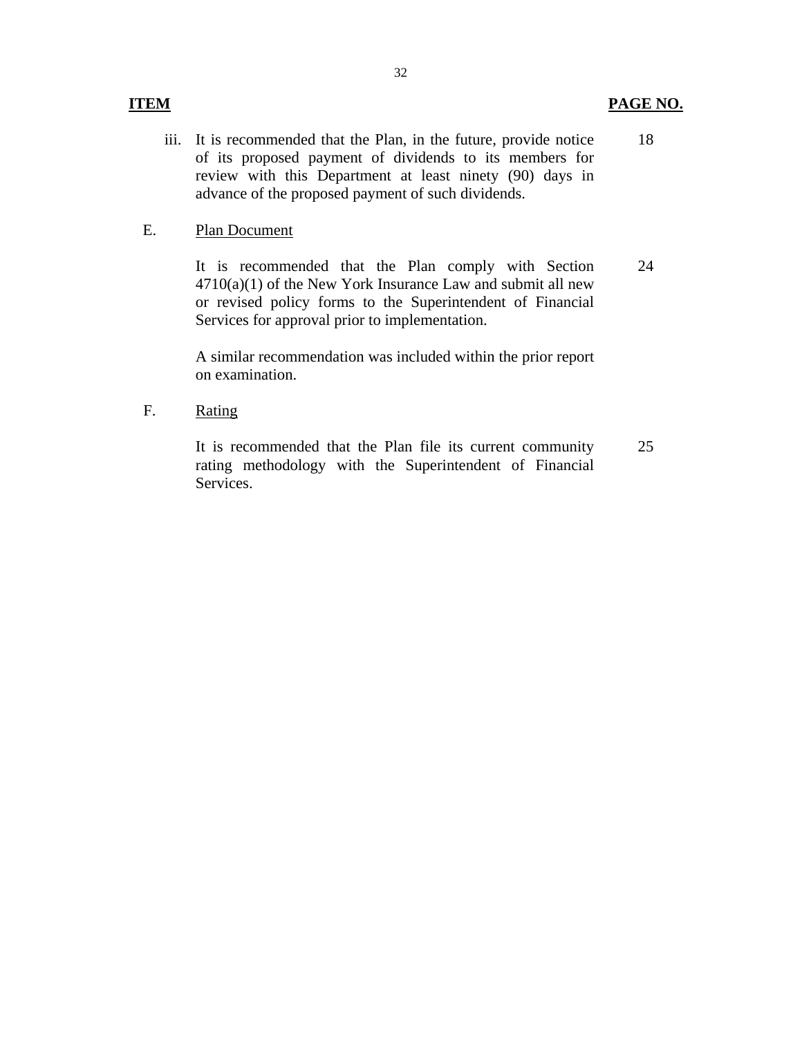## **ITEM PAGE NO.**

iii. It is recommended that the Plan, in the future, provide notice of its proposed payment of dividends to its members for review with this Department at least ninety (90) days in advance of the proposed payment of such dividends. 18

#### E. Plan Document

It is recommended that the Plan comply with Section  $4710(a)(1)$  of the New York Insurance Law and submit all new or revised policy forms to the Superintendent of Financial Services for approval prior to implementation. 24

A similar recommendation was included within the prior report on examination.

F. Rating

It is recommended that the Plan file its current community rating methodology with the Superintendent of Financial Services. 25